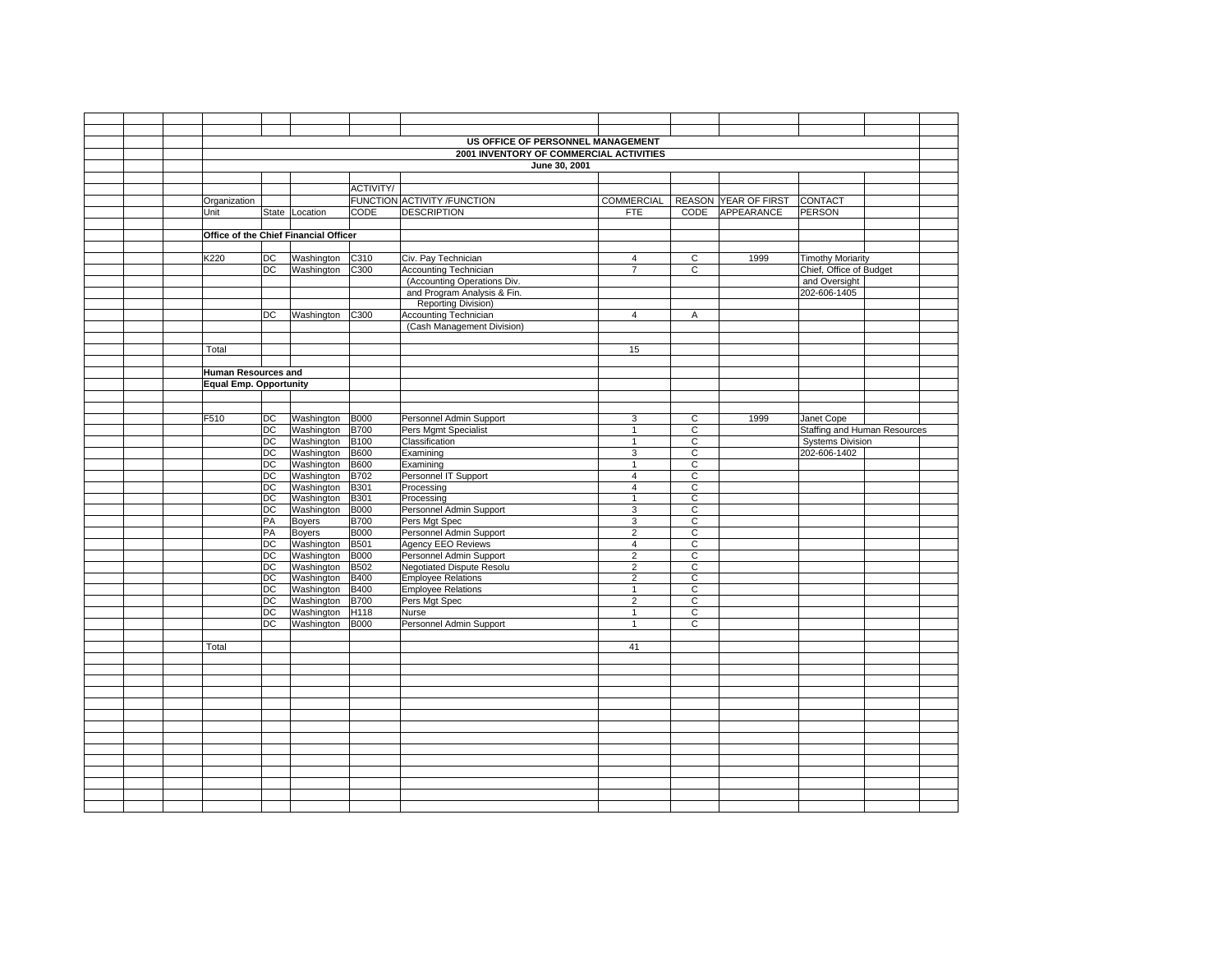|  |                                       |                       |                          |                            | US OFFICE OF PERSONNEL MANAGEMENT                          |                                  |                                  |                                 |                              |  |
|--|---------------------------------------|-----------------------|--------------------------|----------------------------|------------------------------------------------------------|----------------------------------|----------------------------------|---------------------------------|------------------------------|--|
|  |                                       |                       |                          |                            | 2001 INVENTORY OF COMMERCIAL ACTIVITIES                    |                                  |                                  |                                 |                              |  |
|  |                                       |                       |                          |                            | June 30, 2001                                              |                                  |                                  |                                 |                              |  |
|  |                                       |                       |                          |                            |                                                            |                                  |                                  |                                 |                              |  |
|  |                                       |                       |                          | ACTIVITY/                  |                                                            |                                  |                                  |                                 |                              |  |
|  | Organization                          |                       |                          |                            | FUNCTION ACTIVITY / FUNCTION                               |                                  |                                  | COMMERCIAL REASON YEAR OF FIRST | CONTACT                      |  |
|  | Unit                                  |                       | State Location           | <b>CODE</b>                | <b>DESCRIPTION</b>                                         | <b>FTE</b>                       |                                  | CODE APPEARANCE                 | PERSON                       |  |
|  |                                       |                       |                          |                            |                                                            |                                  |                                  |                                 |                              |  |
|  | Office of the Chief Financial Officer |                       |                          |                            |                                                            |                                  |                                  |                                 |                              |  |
|  |                                       |                       |                          |                            |                                                            |                                  |                                  |                                 |                              |  |
|  | K220                                  | DC                    | Washington               | C310                       | Civ. Pay Technician                                        | $\overline{4}$                   | C                                | 1999                            | <b>Timothy Moriarity</b>     |  |
|  |                                       | $\overline{DC}$       | Washington               | C300                       | Accounting Technician                                      | $\overline{7}$                   | $\mathsf{C}$                     |                                 | Chief, Office of Budget      |  |
|  |                                       |                       |                          |                            | (Accounting Operations Div.                                |                                  |                                  |                                 | and Oversight                |  |
|  |                                       |                       |                          |                            | and Program Analysis & Fin.                                |                                  |                                  |                                 | 202-606-1405                 |  |
|  |                                       |                       |                          |                            | <b>Reporting Division)</b>                                 |                                  |                                  |                                 |                              |  |
|  |                                       | DC.                   | Washington C300          |                            | <b>Accounting Technician</b><br>(Cash Management Division) | $\overline{4}$                   | A                                |                                 |                              |  |
|  |                                       |                       |                          |                            |                                                            |                                  |                                  |                                 |                              |  |
|  | Total                                 |                       |                          |                            |                                                            | 15                               |                                  |                                 |                              |  |
|  |                                       |                       |                          |                            |                                                            |                                  |                                  |                                 |                              |  |
|  | <b>Human Resources and</b>            |                       |                          |                            |                                                            |                                  |                                  |                                 |                              |  |
|  | <b>Equal Emp. Opportunity</b>         |                       |                          |                            |                                                            |                                  |                                  |                                 |                              |  |
|  |                                       |                       |                          |                            |                                                            |                                  |                                  |                                 |                              |  |
|  |                                       |                       |                          |                            |                                                            |                                  |                                  |                                 |                              |  |
|  | F510                                  | DC                    | Washington               | <b>B000</b>                | Personnel Admin Support                                    | 3                                | $\mathsf{C}$                     | 1999                            | Janet Cope                   |  |
|  |                                       | $\overline{DC}$       | Washington               | <b>B700</b>                | Pers Mgmt Specialist                                       | $\mathbf{1}$                     | $\overline{c}$                   |                                 | Staffing and Human Resources |  |
|  |                                       | DC                    | Washington               | <b>B100</b>                | Classification                                             | $\mathbf{1}$                     | $\mathsf{C}$                     |                                 | <b>Systems Division</b>      |  |
|  |                                       | <b>DC</b>             | Washington               | <b>B600</b>                | Examining                                                  | 3                                | $\mathsf{C}$                     |                                 | 202-606-1402                 |  |
|  |                                       | DC                    | Washington               | <b>B600</b>                | Examining                                                  | $\mathbf{1}$                     | $\mathbf C$                      |                                 |                              |  |
|  |                                       | DC                    | Washington               | <b>B702</b>                | Personnel IT Support                                       | $\overline{4}$                   | C                                |                                 |                              |  |
|  |                                       | DC                    | Washington               | <b>B301</b>                | Processing                                                 | $\overline{4}$                   | $\mathsf C$                      |                                 |                              |  |
|  |                                       | DC                    | Washington               | <b>B301</b>                | Processing                                                 | $\mathbf{1}$                     | $\overline{c}$                   |                                 |                              |  |
|  |                                       | DC                    | Washington               | <b>B000</b>                | Personnel Admin Support                                    | 3                                | $\overline{c}$                   |                                 |                              |  |
|  |                                       | PA                    | Boyers                   | <b>B700</b>                | Pers Mgt Spec                                              | 3                                | C                                |                                 |                              |  |
|  |                                       | PA                    | Boyers                   | <b>B000</b>                | Personnel Admin Support                                    | $\overline{2}$                   | C                                |                                 |                              |  |
|  |                                       | DC                    | Washington               | <b>B501</b>                | Agency EEO Reviews                                         | 4                                | $\overline{c}$                   |                                 |                              |  |
|  |                                       | DC<br>$\overline{DC}$ | Washington<br>Washington | <b>B000</b><br><b>B502</b> | Personnel Admin Support<br>Negotiated Dispute Resolu       | $\overline{2}$<br>$\overline{2}$ | $\overline{c}$<br>$\overline{c}$ |                                 |                              |  |
|  |                                       | $\overline{DC}$       | Washington               | <b>B400</b>                | <b>Employee Relations</b>                                  | $\overline{2}$                   | $\overline{c}$                   |                                 |                              |  |
|  |                                       | DC                    | Washington               | <b>B400</b>                | Employee Relations                                         | $\mathbf{1}$                     | C                                |                                 |                              |  |
|  |                                       | DC                    | Washington               | <b>B700</b>                | Pers Mgt Spec                                              | $\overline{2}$                   | C                                |                                 |                              |  |
|  |                                       | DC                    | Washington               | H118                       | Nurse                                                      | $\mathbf{1}$                     | C                                |                                 |                              |  |
|  |                                       | DC                    | Washington               | <b>B000</b>                | Personnel Admin Support                                    | $\mathbf{1}$                     | C                                |                                 |                              |  |
|  |                                       |                       |                          |                            |                                                            |                                  |                                  |                                 |                              |  |
|  | Total                                 |                       |                          |                            |                                                            | 41                               |                                  |                                 |                              |  |
|  |                                       |                       |                          |                            |                                                            |                                  |                                  |                                 |                              |  |
|  |                                       |                       |                          |                            |                                                            |                                  |                                  |                                 |                              |  |
|  |                                       |                       |                          |                            |                                                            |                                  |                                  |                                 |                              |  |
|  |                                       |                       |                          |                            |                                                            |                                  |                                  |                                 |                              |  |
|  |                                       |                       |                          |                            |                                                            |                                  |                                  |                                 |                              |  |
|  |                                       |                       |                          |                            |                                                            |                                  |                                  |                                 |                              |  |
|  |                                       |                       |                          |                            |                                                            |                                  |                                  |                                 |                              |  |
|  |                                       |                       |                          |                            |                                                            |                                  |                                  |                                 |                              |  |
|  |                                       |                       |                          |                            |                                                            |                                  |                                  |                                 |                              |  |
|  |                                       |                       |                          |                            |                                                            |                                  |                                  |                                 |                              |  |
|  |                                       |                       |                          |                            |                                                            |                                  |                                  |                                 |                              |  |
|  |                                       |                       |                          |                            |                                                            |                                  |                                  |                                 |                              |  |
|  |                                       |                       |                          |                            |                                                            |                                  |                                  |                                 |                              |  |
|  |                                       |                       |                          |                            |                                                            |                                  |                                  |                                 |                              |  |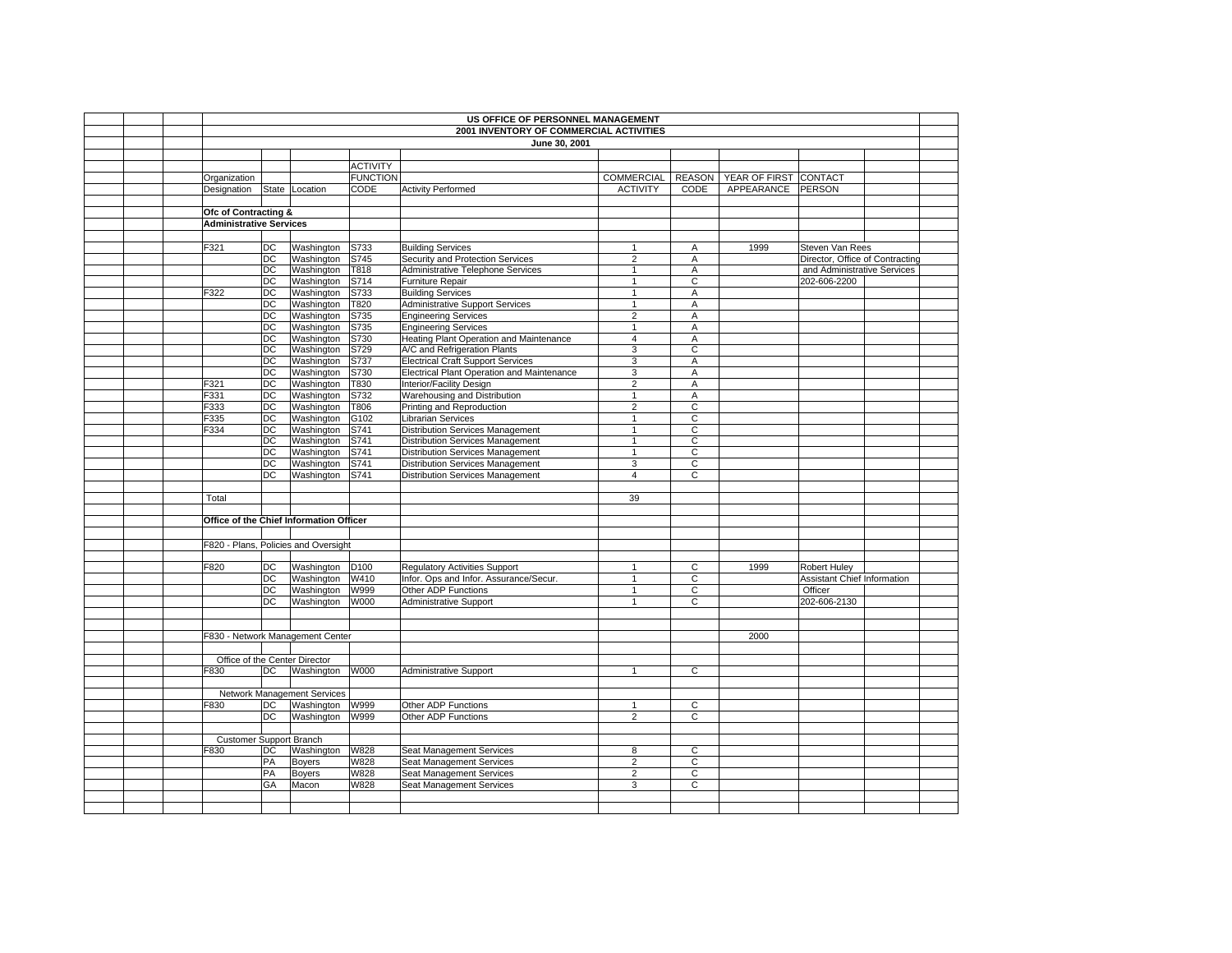|                                |                 |                                         |                 | US OFFICE OF PERSONNEL MANAGEMENT<br>2001 INVENTORY OF COMMERCIAL ACTIVITIES |                              |                     |                                             |                                 |  |
|--------------------------------|-----------------|-----------------------------------------|-----------------|------------------------------------------------------------------------------|------------------------------|---------------------|---------------------------------------------|---------------------------------|--|
|                                |                 |                                         |                 | June 30, 2001                                                                |                              |                     |                                             |                                 |  |
|                                |                 |                                         |                 |                                                                              |                              |                     |                                             |                                 |  |
|                                |                 |                                         | <b>ACTIVITY</b> |                                                                              |                              |                     |                                             |                                 |  |
| Organization                   |                 |                                         | <b>FUNCTION</b> |                                                                              |                              |                     | COMMERCIAL   REASON   YEAR OF FIRST CONTACT |                                 |  |
| Designation                    |                 | State Location                          | CODE            | <b>Activity Performed</b>                                                    | <b>ACTIVITY</b>              | CODE                | APPEARANCE PERSON                           |                                 |  |
|                                |                 |                                         |                 |                                                                              |                              |                     |                                             |                                 |  |
| Ofc of Contracting &           |                 |                                         |                 |                                                                              |                              |                     |                                             |                                 |  |
| <b>Administrative Services</b> |                 |                                         |                 |                                                                              |                              |                     |                                             |                                 |  |
|                                |                 |                                         |                 |                                                                              |                              |                     |                                             |                                 |  |
| F321                           | $\overline{DC}$ | Washington                              | S733            | <b>Building Services</b>                                                     | 1                            | A                   | 1999                                        | Steven Van Rees                 |  |
|                                | DC              | Washington                              | S745            | Security and Protection Services                                             | $\overline{2}$               | Α                   |                                             | Director, Office of Contracting |  |
|                                | DC              | Washington                              | T818            | Administrative Telephone Services                                            | $\mathbf{1}$<br>$\mathbf{1}$ | $\overline{A}$<br>C |                                             | and Administrative Services     |  |
| F322                           | DC<br>DC        | Washington<br>Washington                | S714<br>S733    | Furniture Repair<br><b>Building Services</b>                                 | $\mathbf{1}$                 | A                   |                                             | 202-606-2200                    |  |
|                                | DC              | Washington                              | T820            | <b>Administrative Support Services</b>                                       | $\overline{1}$               | $\overline{A}$      |                                             |                                 |  |
|                                | DC              | Washington                              | S735            | <b>Engineering Services</b>                                                  | $\overline{2}$               | A                   |                                             |                                 |  |
|                                | DC              | Washington                              | S735            | <b>Engineering Services</b>                                                  | $\mathbf{1}$                 | A                   |                                             |                                 |  |
|                                | DC              | Washington                              | S730            | Heating Plant Operation and Maintenance                                      | $\overline{4}$               | A                   |                                             |                                 |  |
|                                | DC              | Washington                              | S729            | A/C and Refrigeration Plants                                                 | 3                            | $\overline{c}$      |                                             |                                 |  |
|                                | DC              | Washington                              | S737            | <b>Electrical Craft Support Services</b>                                     | 3                            | A                   |                                             |                                 |  |
|                                | DC              | Washington                              | S730            | Electrical Plant Operation and Maintenance                                   | 3                            | Α                   |                                             |                                 |  |
| F321                           | DC              | Washington                              | T830            | Interior/Facility Design                                                     | $\overline{2}$               | A                   |                                             |                                 |  |
| F331                           | DC              | Washington                              | S732            | Warehousing and Distribution                                                 | $\mathbf{1}$                 | $\overline{A}$      |                                             |                                 |  |
| F333                           | DC              | Washington                              | T806            | Printing and Reproduction                                                    | $\overline{2}$               | C                   |                                             |                                 |  |
| F335                           | DC              | Washington                              | G102            | <b>Librarian Services</b>                                                    | $\mathbf{1}$                 | C                   |                                             |                                 |  |
| F334                           | DC              | Washington                              | S741            | <b>Distribution Services Management</b>                                      | $\mathbf{1}$                 | C                   |                                             |                                 |  |
|                                | DC              | Washington                              | S741            | <b>Distribution Services Management</b>                                      | $\mathbf{1}$                 | C                   |                                             |                                 |  |
|                                | DC              | Washington                              | S741            | Distribution Services Management<br><b>Distribution Services Management</b>  | $\mathbf{1}$<br>3            | C<br>C              |                                             |                                 |  |
|                                | DC<br>DC.       | Washington<br>Washington                | S741<br>S741    | Distribution Services Management                                             | $\overline{4}$               | С                   |                                             |                                 |  |
|                                |                 |                                         |                 |                                                                              |                              |                     |                                             |                                 |  |
| Total                          |                 |                                         |                 |                                                                              | 39                           |                     |                                             |                                 |  |
|                                |                 |                                         |                 |                                                                              |                              |                     |                                             |                                 |  |
|                                |                 | Office of the Chief Information Officer |                 |                                                                              |                              |                     |                                             |                                 |  |
|                                |                 |                                         |                 |                                                                              |                              |                     |                                             |                                 |  |
|                                |                 | F820 - Plans, Policies and Oversight    |                 |                                                                              |                              |                     |                                             |                                 |  |
|                                |                 |                                         |                 |                                                                              |                              |                     |                                             |                                 |  |
| F820                           | DC              | Washington D100                         |                 | Regulatory Activities Support                                                | $\mathbf{1}$                 | $\overline{c}$      | 1999                                        | Robert Huley                    |  |
|                                | DC              | Washington                              | W410            | Infor. Ops and Infor. Assurance/Secur.                                       | $\mathbf{1}$                 | C                   |                                             | Assistant Chief Information     |  |
|                                | DC              | Washington                              | W999            | Other ADP Functions                                                          | $\mathbf{1}$                 | С                   |                                             | Officer                         |  |
|                                | DC              | Washington                              | W000            | Administrative Support                                                       | $\mathbf{1}$                 | $\overline{c}$      |                                             | 202-606-2130                    |  |
|                                |                 |                                         |                 |                                                                              |                              |                     |                                             |                                 |  |
|                                |                 |                                         |                 |                                                                              |                              |                     |                                             |                                 |  |
|                                |                 | F830 - Network Management Center        |                 |                                                                              |                              |                     | 2000                                        |                                 |  |
| Office of the Center Director  |                 |                                         |                 |                                                                              |                              |                     |                                             |                                 |  |
| F830                           | <b>DC</b>       | Washington W000                         |                 | Administrative Support                                                       | $\mathbf{1}$                 | $\mathsf{C}$        |                                             |                                 |  |
|                                |                 |                                         |                 |                                                                              |                              |                     |                                             |                                 |  |
|                                |                 | Network Management Services             |                 |                                                                              |                              |                     |                                             |                                 |  |
| F830                           | DC              | Washington                              | W999            | Other ADP Functions                                                          | $\mathbf{1}$                 | C                   |                                             |                                 |  |
|                                | DC              | Washington W999                         |                 | Other ADP Functions                                                          | $\overline{2}$               | C                   |                                             |                                 |  |
|                                |                 |                                         |                 |                                                                              |                              |                     |                                             |                                 |  |
| <b>Customer Support Branch</b> |                 |                                         |                 |                                                                              |                              |                     |                                             |                                 |  |
| F830                           | DC              | Washington                              | W828            | Seat Management Services                                                     | 8                            | C                   |                                             |                                 |  |
|                                | PA              | <b>Boyers</b>                           | W828            | Seat Management Services                                                     | $\overline{2}$               | C                   |                                             |                                 |  |
|                                | PA              | <b>Boyers</b>                           | W828            | Seat Management Services                                                     | $\overline{c}$               | $\mathsf{C}$        |                                             |                                 |  |
|                                | GA              | Macon                                   | W828            | Seat Management Services                                                     | 3                            | C                   |                                             |                                 |  |
|                                |                 |                                         |                 |                                                                              |                              |                     |                                             |                                 |  |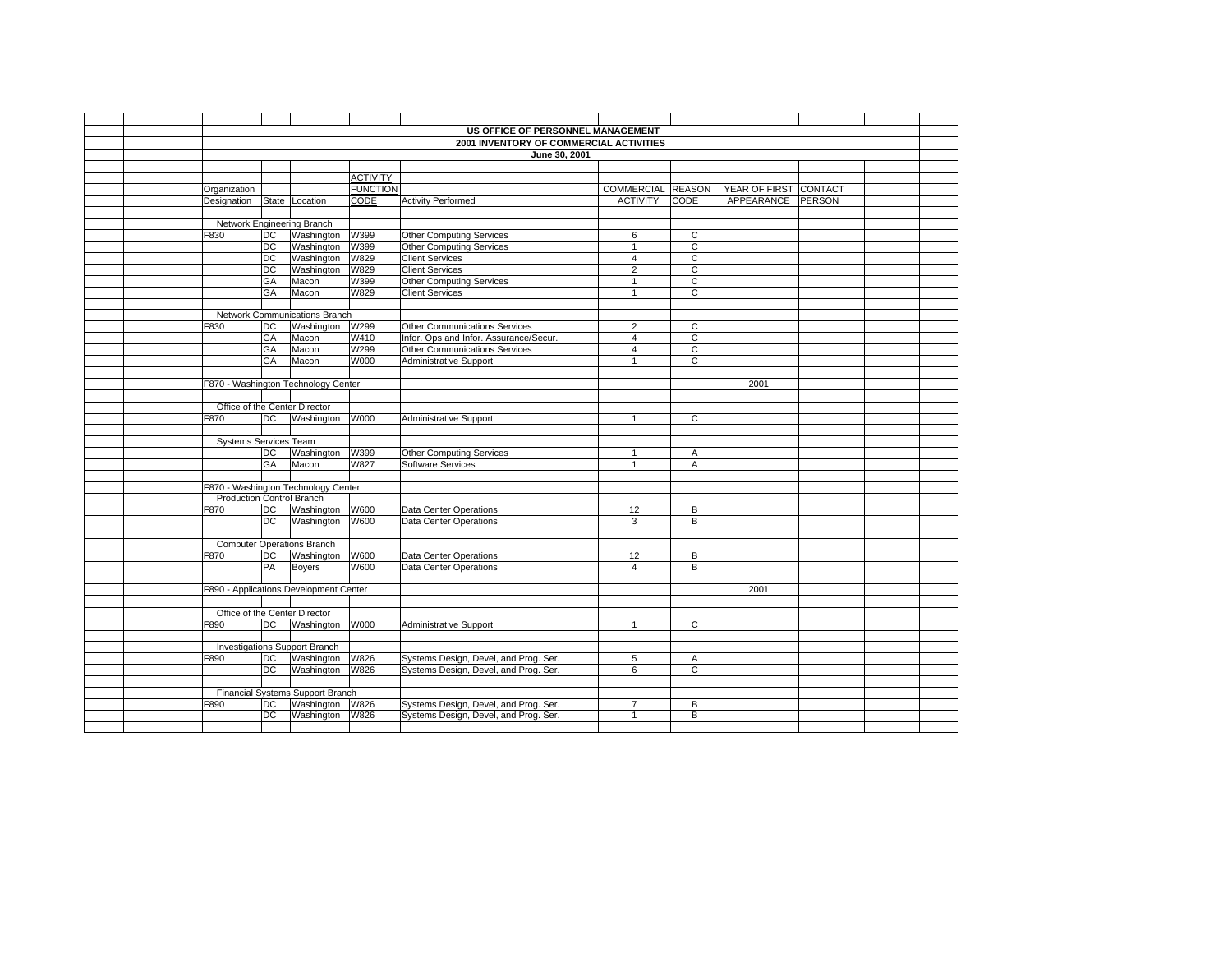|  |                                  |                 |                                             |                 | US OFFICE OF PERSONNEL MANAGEMENT       |                   |                |                       |  |  |
|--|----------------------------------|-----------------|---------------------------------------------|-----------------|-----------------------------------------|-------------------|----------------|-----------------------|--|--|
|  |                                  |                 |                                             |                 | 2001 INVENTORY OF COMMERCIAL ACTIVITIES |                   |                |                       |  |  |
|  |                                  |                 |                                             |                 | June 30, 2001                           |                   |                |                       |  |  |
|  |                                  |                 |                                             |                 |                                         |                   |                |                       |  |  |
|  |                                  |                 |                                             | <b>ACTIVITY</b> |                                         |                   |                |                       |  |  |
|  | Organization                     |                 |                                             | <b>FUNCTION</b> |                                         | COMMERCIAL REASON |                | YEAR OF FIRST CONTACT |  |  |
|  | Designation                      |                 | State Location                              | CODE            | <b>Activity Performed</b>               | <b>ACTIVITY</b>   | CODE           | APPEARANCE PERSON     |  |  |
|  |                                  |                 |                                             |                 |                                         |                   |                |                       |  |  |
|  |                                  |                 | Network Engineering Branch                  |                 |                                         |                   |                |                       |  |  |
|  | F830                             | DC              | Washington                                  | W399            | <b>Other Computing Services</b>         | 6                 | C              |                       |  |  |
|  |                                  | DC              | Washington                                  | W399            | <b>Other Computing Services</b>         | $\mathbf{1}$      | C              |                       |  |  |
|  |                                  | DC              | Washington                                  | W829            | <b>Client Services</b>                  | $\overline{4}$    | C              |                       |  |  |
|  |                                  | DC              | Washington                                  | W829            | <b>Client Services</b>                  | $\overline{2}$    | $\mathsf{C}$   |                       |  |  |
|  |                                  | GA              | Macon                                       | W399            | Other Computing Services                | $\mathbf{1}$      | $\overline{c}$ |                       |  |  |
|  |                                  | GA              | Macon                                       | W829            | <b>Client Services</b>                  | $\mathbf{1}$      | C              |                       |  |  |
|  |                                  |                 |                                             |                 |                                         |                   |                |                       |  |  |
|  |                                  |                 | Network Communications Branch               |                 |                                         |                   |                |                       |  |  |
|  | F830                             | DC              | Washington                                  | W299            | <b>Other Communications Services</b>    | $\overline{2}$    | $\overline{C}$ |                       |  |  |
|  |                                  | GA              | Macon                                       | W410            | Infor. Ops and Infor. Assurance/Secur.  | $\overline{4}$    | $\overline{C}$ |                       |  |  |
|  |                                  | GA              | Macon                                       | W299            | <b>Other Communications Services</b>    | 4                 | C              |                       |  |  |
|  |                                  | GA              | Macon                                       | W000            | <b>Administrative Support</b>           | $\mathbf{1}$      | $\overline{c}$ |                       |  |  |
|  |                                  |                 |                                             |                 |                                         |                   |                |                       |  |  |
|  |                                  |                 | F870 - Washington Technology Center         |                 |                                         |                   |                | 2001                  |  |  |
|  |                                  |                 |                                             |                 |                                         |                   |                |                       |  |  |
|  | F870                             | <b>DC</b>       | Office of the Center Director<br>Washington | W000            |                                         | $\mathbf{1}$      | $\mathsf{C}$   |                       |  |  |
|  |                                  |                 |                                             |                 | <b>Administrative Support</b>           |                   |                |                       |  |  |
|  | Systems Services Team            |                 |                                             |                 |                                         |                   |                |                       |  |  |
|  |                                  | DC              | Washington                                  | W399            | <b>Other Computing Services</b>         | $\mathbf{1}$      | A              |                       |  |  |
|  |                                  | GA              | Macon                                       | W827            | Software Services                       | $\overline{1}$    | A              |                       |  |  |
|  |                                  |                 |                                             |                 |                                         |                   |                |                       |  |  |
|  |                                  |                 | F870 - Washington Technology Center         |                 |                                         |                   |                |                       |  |  |
|  | <b>Production Control Branch</b> |                 |                                             |                 |                                         |                   |                |                       |  |  |
|  | F870                             | DC              | Washington                                  | W600            | Data Center Operations                  | 12                | B              |                       |  |  |
|  |                                  | DC              | Washington                                  | W600            | Data Center Operations                  | 3                 | B              |                       |  |  |
|  |                                  |                 |                                             |                 |                                         |                   |                |                       |  |  |
|  |                                  |                 | <b>Computer Operations Branch</b>           |                 |                                         |                   |                |                       |  |  |
|  | F870                             | DC              | Washington                                  | W600            | Data Center Operations                  | 12                | В              |                       |  |  |
|  |                                  | PA              | <b>Boyers</b>                               | W600            | Data Center Operations                  | 4                 | В              |                       |  |  |
|  |                                  |                 |                                             |                 |                                         |                   |                |                       |  |  |
|  |                                  |                 | F890 - Applications Development Center      |                 |                                         |                   |                | 2001                  |  |  |
|  |                                  |                 |                                             |                 |                                         |                   |                |                       |  |  |
|  |                                  |                 | Office of the Center Director               |                 |                                         |                   |                |                       |  |  |
|  | F890                             | DC              | Washington W000                             |                 | Administrative Support                  | $\mathbf{1}$      | $\mathsf{C}$   |                       |  |  |
|  |                                  |                 | <b>Investigations Support Branch</b>        |                 |                                         |                   |                |                       |  |  |
|  | F890                             | DC              | Washington                                  | <b>W826</b>     | Systems Design, Devel, and Prog. Ser.   | 5                 | A              |                       |  |  |
|  |                                  | $\overline{DC}$ | Washington                                  | W826            | Systems Design, Devel, and Prog. Ser.   | 6                 | $\overline{C}$ |                       |  |  |
|  |                                  |                 |                                             |                 |                                         |                   |                |                       |  |  |
|  |                                  |                 | Financial Systems Support Branch            |                 |                                         |                   |                |                       |  |  |
|  | F890                             | DC              | Washington                                  | W826            | Systems Design, Devel, and Prog. Ser.   | $\overline{7}$    | B              |                       |  |  |
|  |                                  | DC              | Washington                                  | W826            | Systems Design, Devel, and Prog. Ser.   | $\mathbf{1}$      | B              |                       |  |  |
|  |                                  |                 |                                             |                 |                                         |                   |                |                       |  |  |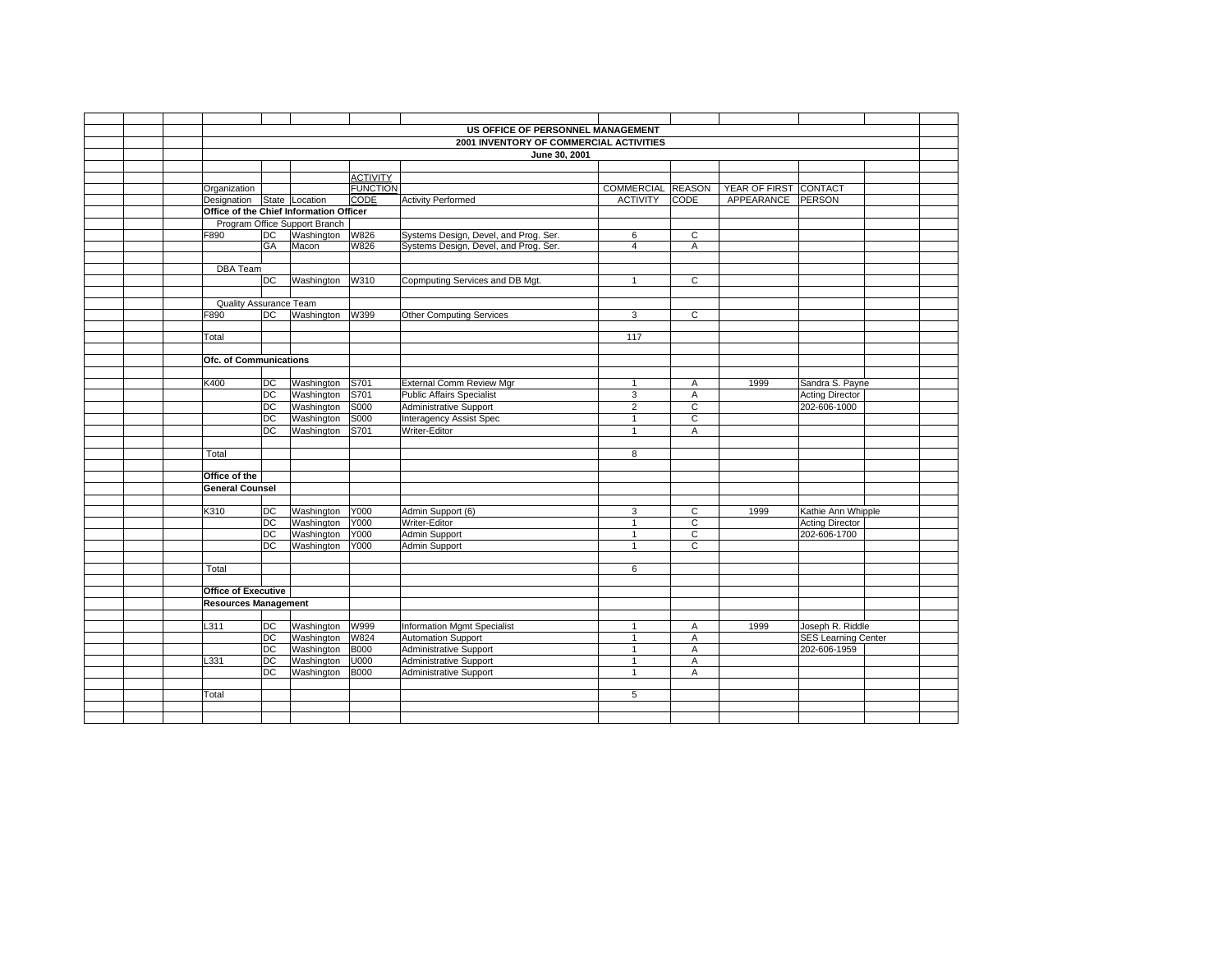|  |                               |                 |                                             |                 | US OFFICE OF PERSONNEL MANAGEMENT       |                   |                |                                            |                            |  |
|--|-------------------------------|-----------------|---------------------------------------------|-----------------|-----------------------------------------|-------------------|----------------|--------------------------------------------|----------------------------|--|
|  |                               |                 |                                             |                 | 2001 INVENTORY OF COMMERCIAL ACTIVITIES |                   |                |                                            |                            |  |
|  |                               |                 |                                             |                 | June 30, 2001                           |                   |                |                                            |                            |  |
|  |                               |                 |                                             |                 |                                         |                   |                |                                            |                            |  |
|  |                               |                 |                                             | <b>ACTIVITY</b> |                                         |                   |                |                                            |                            |  |
|  | Organization                  |                 |                                             | <b>FUNCTION</b> |                                         | COMMERCIAL REASON |                | YEAR OF FIRST CONTACT<br>APPEARANCE PERSON |                            |  |
|  | Designation State Location    |                 | Office of the Chief Information Officer     | CODE            | <b>Activity Performed</b>               | <b>ACTIVITY</b>   | <b>CODE</b>    |                                            |                            |  |
|  |                               |                 |                                             |                 |                                         |                   |                |                                            |                            |  |
|  | F890                          | DC              | Program Office Support Branch<br>Washington | W826            | Systems Design, Devel, and Prog. Ser.   | 6                 | $\mathsf C$    |                                            |                            |  |
|  |                               | GA              | Macon                                       | W826            | Systems Design, Devel, and Prog. Ser.   | $\overline{4}$    | $\overline{A}$ |                                            |                            |  |
|  |                               |                 |                                             |                 |                                         |                   |                |                                            |                            |  |
|  | <b>DBA</b> Team               |                 |                                             |                 |                                         |                   |                |                                            |                            |  |
|  |                               | DC              | Washington                                  | W310            | Copmputing Services and DB Mgt.         | $\mathbf{1}$      | $\mathbf{C}$   |                                            |                            |  |
|  |                               |                 |                                             |                 |                                         |                   |                |                                            |                            |  |
|  | Quality Assurance Team        |                 |                                             |                 |                                         |                   |                |                                            |                            |  |
|  | F890                          | DC              | Washington                                  | W399            | <b>Other Computing Services</b>         | 3                 | $\overline{c}$ |                                            |                            |  |
|  |                               |                 |                                             |                 |                                         |                   |                |                                            |                            |  |
|  | Total                         |                 |                                             |                 |                                         | 117               |                |                                            |                            |  |
|  |                               |                 |                                             |                 |                                         |                   |                |                                            |                            |  |
|  | <b>Ofc. of Communications</b> |                 |                                             |                 |                                         |                   |                |                                            |                            |  |
|  |                               |                 |                                             |                 |                                         |                   |                |                                            |                            |  |
|  | K400                          | $\overline{C}$  | Washington                                  | S701            | External Comm Review Mgr                | $\mathbf{1}$      | Α              | 1999                                       | Sandra S. Payne            |  |
|  |                               | DC              | Washington                                  | S701            | <b>Public Affairs Specialist</b>        | 3                 | Α              |                                            | <b>Acting Director</b>     |  |
|  |                               | <b>DC</b>       | Washington                                  | S000            | Administrative Support                  | $\overline{2}$    | $\mathsf C$    |                                            | 202-606-1000               |  |
|  |                               | $\overline{DC}$ | Washington                                  | S000            | Interagency Assist Spec                 | $\mathbf{1}$      | $\mathbf C$    |                                            |                            |  |
|  |                               | DC              | Washington                                  | S701            | Writer-Editor                           | $\mathbf{1}$      | Α              |                                            |                            |  |
|  |                               |                 |                                             |                 |                                         |                   |                |                                            |                            |  |
|  | Total                         |                 |                                             |                 |                                         | 8                 |                |                                            |                            |  |
|  |                               |                 |                                             |                 |                                         |                   |                |                                            |                            |  |
|  | Office of the                 |                 |                                             |                 |                                         |                   |                |                                            |                            |  |
|  | <b>General Counsel</b>        |                 |                                             |                 |                                         |                   |                |                                            |                            |  |
|  |                               |                 |                                             |                 |                                         |                   |                |                                            |                            |  |
|  | K310                          | DC              | Washington                                  | Y000            | Admin Support (6)                       | 3                 | $\mathsf{C}$   | 1999                                       | Kathie Ann Whipple         |  |
|  |                               | DC              | Washington                                  | Y000            | Writer-Editor                           | $\mathbf{1}$      | $\mathsf{C}$   |                                            | <b>Acting Director</b>     |  |
|  |                               | DC              | Washington                                  | Y000            | Admin Support                           | $\mathbf{1}$      | $\mathsf C$    |                                            | 202-606-1700               |  |
|  |                               | DC.             | Washington                                  | Y000            | Admin Support                           | $\mathbf{1}$      | $\mathsf{C}$   |                                            |                            |  |
|  |                               |                 |                                             |                 |                                         |                   |                |                                            |                            |  |
|  | Total                         |                 |                                             |                 |                                         | 6                 |                |                                            |                            |  |
|  |                               |                 |                                             |                 |                                         |                   |                |                                            |                            |  |
|  | <b>Office of Executive</b>    |                 |                                             |                 |                                         |                   |                |                                            |                            |  |
|  | <b>Resources Management</b>   |                 |                                             |                 |                                         |                   |                |                                            |                            |  |
|  |                               |                 |                                             |                 |                                         |                   |                |                                            |                            |  |
|  | L311                          | DC              | Washington                                  | W999            | Information Mgmt Specialist             | $\mathbf{1}$      | $\overline{A}$ | 1999                                       | Joseph R. Riddle           |  |
|  |                               | DC              | Washington                                  | W824            | Automation Support                      | $\mathbf{1}$      | Α              |                                            | <b>SES</b> Learning Center |  |
|  |                               | $\overline{DC}$ | Washington                                  | <b>B000</b>     | <b>Administrative Support</b>           | $\mathbf{1}$      | A              |                                            | 202-606-1959               |  |
|  | L331                          | DC              | Washington                                  | U000            | <b>Administrative Support</b>           | $\mathbf{1}$      | A              |                                            |                            |  |
|  |                               | DC              | Washington                                  | <b>B000</b>     | Administrative Support                  | $\mathbf{1}$      | Α              |                                            |                            |  |
|  |                               |                 |                                             |                 |                                         | 5                 |                |                                            |                            |  |
|  | Total                         |                 |                                             |                 |                                         |                   |                |                                            |                            |  |
|  |                               |                 |                                             |                 |                                         |                   |                |                                            |                            |  |
|  |                               |                 |                                             |                 |                                         |                   |                |                                            |                            |  |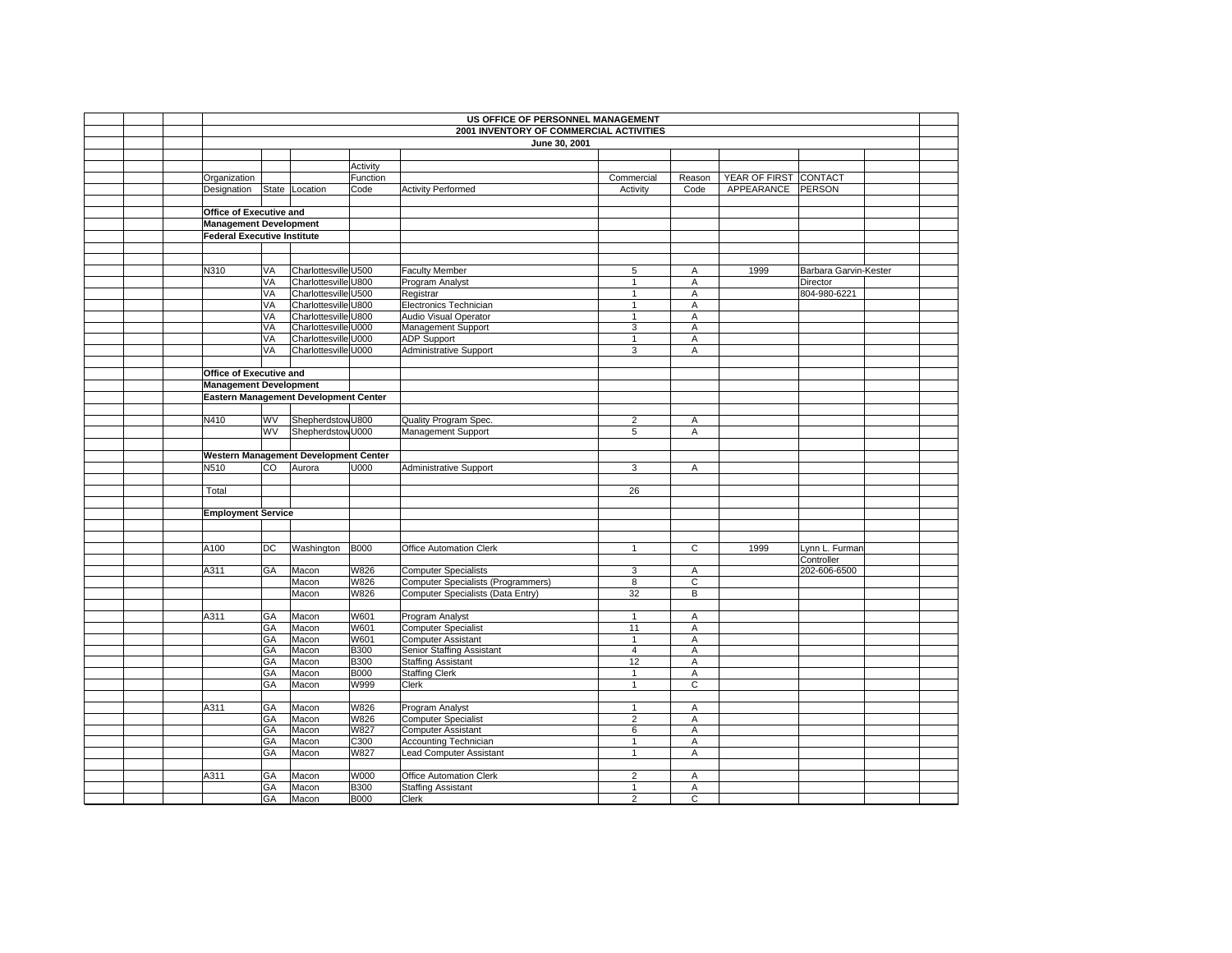| US OFFICE OF PERSONNEL MANAGEMENT  |    |                                       |             |                                                                                |                |                |                       |                            |  |  |  |
|------------------------------------|----|---------------------------------------|-------------|--------------------------------------------------------------------------------|----------------|----------------|-----------------------|----------------------------|--|--|--|
|                                    |    |                                       |             | 2001 INVENTORY OF COMMERCIAL ACTIVITIES                                        |                |                |                       |                            |  |  |  |
|                                    |    |                                       |             | June 30, 2001                                                                  |                |                |                       |                            |  |  |  |
|                                    |    |                                       |             |                                                                                |                |                |                       |                            |  |  |  |
|                                    |    |                                       | Activity    |                                                                                |                |                |                       |                            |  |  |  |
| Organization                       |    |                                       | Function    |                                                                                | Commercial     | Reason         | YEAR OF FIRST CONTACT |                            |  |  |  |
| Designation                        |    | State Location                        | Code        | <b>Activity Performed</b>                                                      | Activity       | Code           | APPEARANCE            | <b>PERSON</b>              |  |  |  |
|                                    |    |                                       |             |                                                                                |                |                |                       |                            |  |  |  |
| Office of Executive and            |    |                                       |             |                                                                                |                |                |                       |                            |  |  |  |
| <b>Management Development</b>      |    |                                       |             |                                                                                |                |                |                       |                            |  |  |  |
| <b>Federal Executive Institute</b> |    |                                       |             |                                                                                |                |                |                       |                            |  |  |  |
|                                    |    |                                       |             |                                                                                |                |                |                       |                            |  |  |  |
|                                    |    |                                       |             |                                                                                |                |                |                       |                            |  |  |  |
| N310                               | VA | Charlottesville U500                  |             | <b>Faculty Member</b>                                                          | 5              | Α              | 1999                  | Barbara Garvin-Kester      |  |  |  |
|                                    | VA | Charlottesville U800                  |             | Program Analyst                                                                | $\mathbf{1}$   | Α              |                       | Director                   |  |  |  |
|                                    | VA | Charlottesville U500                  |             | Registrar                                                                      | $\mathbf{1}$   | A              |                       | 804-980-6221               |  |  |  |
|                                    | VA | Charlottesville U800                  |             | Electronics Technician                                                         | $\mathbf{1}$   | A              |                       |                            |  |  |  |
|                                    | VA | Charlottesville U800                  |             | Audio Visual Operator                                                          | $\mathbf{1}$   | A              |                       |                            |  |  |  |
|                                    | VA | Charlottesville U000                  |             | Management Support                                                             | 3              | Α              |                       |                            |  |  |  |
|                                    | VA | Charlottesville U000                  |             | <b>ADP Support</b>                                                             | $\mathbf{1}$   | Α              |                       |                            |  |  |  |
|                                    | VA | Charlottesville U000                  |             | <b>Administrative Support</b>                                                  | $\overline{3}$ | A              |                       |                            |  |  |  |
|                                    |    |                                       |             |                                                                                |                |                |                       |                            |  |  |  |
| Office of Executive and            |    |                                       |             |                                                                                |                |                |                       |                            |  |  |  |
| <b>Management Development</b>      |    |                                       |             |                                                                                |                |                |                       |                            |  |  |  |
|                                    |    | Eastern Management Development Center |             |                                                                                |                |                |                       |                            |  |  |  |
|                                    |    |                                       |             |                                                                                |                |                |                       |                            |  |  |  |
| N410                               | WV | Shepherdstow U800                     |             | Quality Program Spec.                                                          | 2              | Α              |                       |                            |  |  |  |
|                                    | WV | Shepherdstow U000                     |             | Management Support                                                             | 5              | A              |                       |                            |  |  |  |
|                                    |    |                                       |             |                                                                                |                |                |                       |                            |  |  |  |
|                                    |    | Western Management Development Center |             |                                                                                |                |                |                       |                            |  |  |  |
| N510                               | CO | Aurora                                | U000        | <b>Administrative Support</b>                                                  | 3              | A              |                       |                            |  |  |  |
|                                    |    |                                       |             |                                                                                |                |                |                       |                            |  |  |  |
| Total                              |    |                                       |             |                                                                                | 26             |                |                       |                            |  |  |  |
|                                    |    |                                       |             |                                                                                |                |                |                       |                            |  |  |  |
| <b>Employment Service</b>          |    |                                       |             |                                                                                |                |                |                       |                            |  |  |  |
|                                    |    |                                       |             |                                                                                |                |                |                       |                            |  |  |  |
|                                    |    |                                       |             |                                                                                |                |                |                       |                            |  |  |  |
| A100                               | DC | Washington                            | <b>B000</b> | Office Automation Clerk                                                        | $\mathbf{1}$   | $\overline{c}$ | 1999                  | ynn L. Furman              |  |  |  |
| A311                               | GA |                                       | W826        | <b>Computer Specialists</b>                                                    | 3              |                |                       | Controller<br>202-606-6500 |  |  |  |
|                                    |    | Macon                                 | W826        |                                                                                | 8              | Α<br>C         |                       |                            |  |  |  |
|                                    |    | Macon<br>Macon                        | W826        | <b>Computer Specialists (Programmers)</b><br>Computer Specialists (Data Entry) | 32             | B              |                       |                            |  |  |  |
|                                    |    |                                       |             |                                                                                |                |                |                       |                            |  |  |  |
| A311                               | GА | Macon                                 | W601        | Program Analyst                                                                | $\mathbf{1}$   | Α              |                       |                            |  |  |  |
|                                    | GA | Macon                                 | W601        | <b>Computer Specialist</b>                                                     | 11             | Α              |                       |                            |  |  |  |
|                                    | GA | Macon                                 | W601        | <b>Computer Assistant</b>                                                      | $\mathbf{1}$   | Α              |                       |                            |  |  |  |
|                                    | GA | Macon                                 | <b>B300</b> | Senior Staffing Assistant                                                      | $\overline{4}$ | A              |                       |                            |  |  |  |
|                                    | GA | Macon                                 | <b>B300</b> | <b>Staffing Assistant</b>                                                      | 12             | $\overline{A}$ |                       |                            |  |  |  |
|                                    | GA | Macon                                 | <b>B000</b> | <b>Staffing Clerk</b>                                                          | $\mathbf{1}$   | Α              |                       |                            |  |  |  |
|                                    | GA | Macon                                 | W999        | Clerk                                                                          | $\mathbf{1}$   | $\overline{c}$ |                       |                            |  |  |  |
|                                    |    |                                       |             |                                                                                |                |                |                       |                            |  |  |  |
| A311                               | GA | Macon                                 | W826        | Program Analyst                                                                | $\mathbf{1}$   | Α              |                       |                            |  |  |  |
|                                    | GA | Macon                                 | W826        | <b>Computer Specialist</b>                                                     | $\overline{2}$ | A              |                       |                            |  |  |  |
|                                    | GA | Macon                                 | W827        | <b>Computer Assistant</b>                                                      | 6              | Α              |                       |                            |  |  |  |
|                                    | GА | Macon                                 | C300        | Accounting Technician                                                          | $\mathbf{1}$   | Α              |                       |                            |  |  |  |
|                                    | GA | Macon                                 | W827        | <b>Lead Computer Assistant</b>                                                 | $\mathbf{1}$   | Α              |                       |                            |  |  |  |
|                                    |    |                                       |             |                                                                                |                |                |                       |                            |  |  |  |
| A311                               | GA | Macon                                 | W000        | Office Automation Clerk                                                        | $\overline{2}$ | Α              |                       |                            |  |  |  |
|                                    | GA | Macon                                 | <b>B300</b> | <b>Staffing Assistant</b>                                                      | $\mathbf{1}$   | Α              |                       |                            |  |  |  |
|                                    | GA | Macon                                 | <b>B000</b> | Clerk                                                                          | 2              | C              |                       |                            |  |  |  |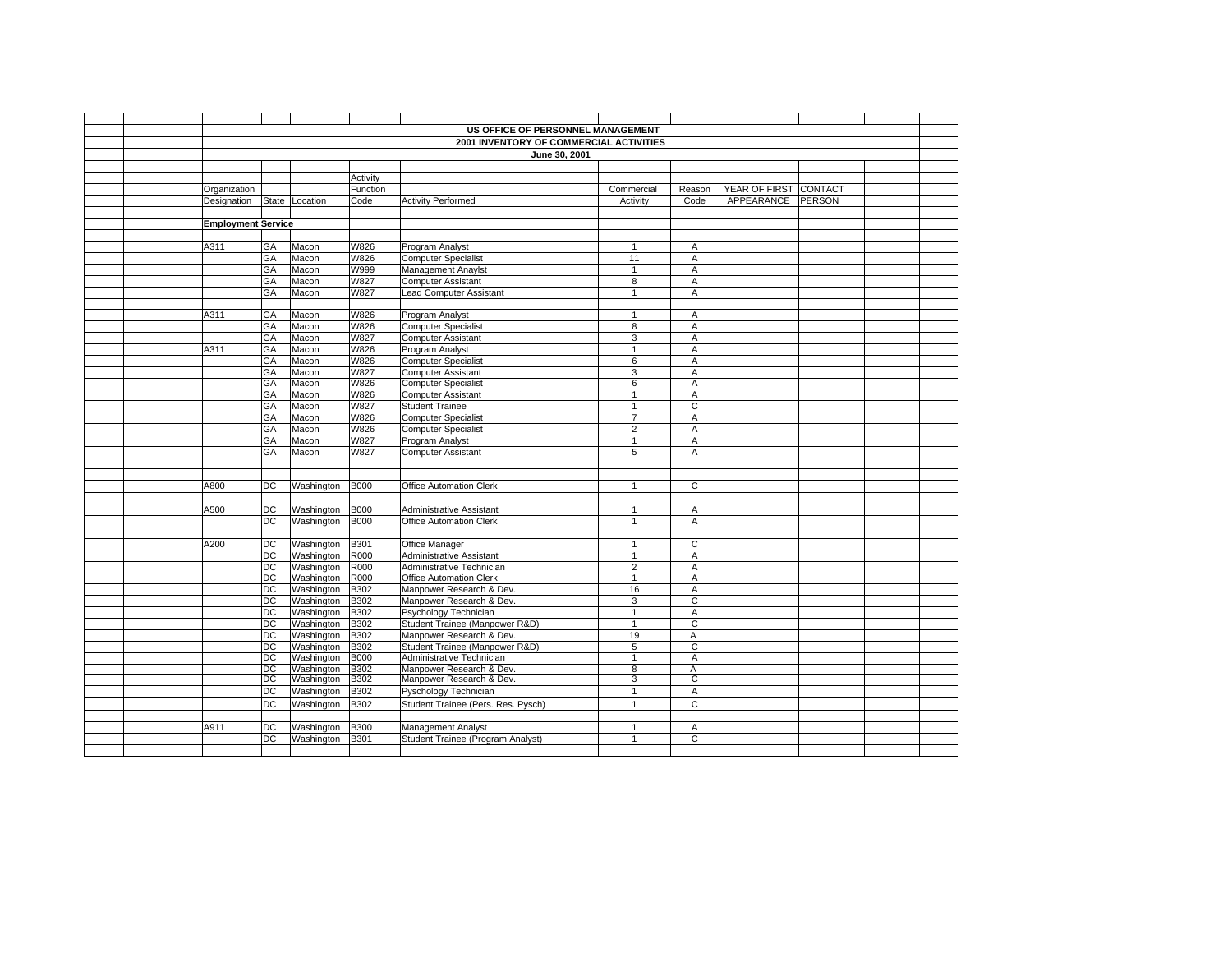|                           |                 |                          |             | US OFFICE OF PERSONNEL MANAGEMENT                          |                |                |                       |  |
|---------------------------|-----------------|--------------------------|-------------|------------------------------------------------------------|----------------|----------------|-----------------------|--|
|                           |                 |                          |             | 2001 INVENTORY OF COMMERCIAL ACTIVITIES                    |                |                |                       |  |
|                           |                 |                          |             | June 30, 2001                                              |                |                |                       |  |
|                           |                 |                          |             |                                                            |                |                |                       |  |
|                           |                 |                          | Activity    |                                                            |                |                |                       |  |
| Organization              |                 |                          | Function    |                                                            | Commercial     | Reason         | YEAR OF FIRST CONTACT |  |
| Designation               | State           | Location                 | Code        | <b>Activity Performed</b>                                  | Activity       | Code           | APPEARANCE PERSON     |  |
|                           |                 |                          |             |                                                            |                |                |                       |  |
| <b>Employment Service</b> |                 |                          |             |                                                            |                |                |                       |  |
|                           |                 |                          |             |                                                            |                |                |                       |  |
| A311                      | GA              | Macon                    | W826        | Program Analyst                                            | 1              | Α              |                       |  |
|                           | GA              | Macon                    | W826        | <b>Computer Specialist</b>                                 | 11             | Α              |                       |  |
|                           | GA              | Macon                    | W999        | Management Anaylst                                         | $\mathbf{1}$   | $\overline{A}$ |                       |  |
|                           | GA              | Macon                    | W827        | <b>Computer Assistant</b>                                  | 8              | Α              |                       |  |
|                           | GA              | Macon                    | W827        | <b>Lead Computer Assistant</b>                             | $\mathbf{1}$   | A              |                       |  |
|                           |                 |                          |             |                                                            |                |                |                       |  |
| A311                      | GA              | Macon                    | W826        | Program Analyst                                            | $\mathbf{1}$   | Α              |                       |  |
|                           | GA              | Macon                    | <b>W826</b> | <b>Computer Specialist</b>                                 | 8              | A              |                       |  |
|                           | GA              | Macon                    | W827        | <b>Computer Assistant</b>                                  | 3              | Α              |                       |  |
| A311                      | GA              | Macon                    | W826        | Program Analyst                                            | $\mathbf{1}$   | A              |                       |  |
|                           | GA              | Macon                    | W826        | <b>Computer Specialist</b>                                 | 6              | Α              |                       |  |
|                           | GA              | Macon                    | W827        | <b>Computer Assistant</b>                                  | 3              | Α              |                       |  |
|                           | GA              | Macon                    | W826        | <b>Computer Specialist</b>                                 | 6              | $\overline{A}$ |                       |  |
|                           | GA              | Macon                    | W826        | <b>Computer Assistant</b>                                  | $\mathbf{1}$   | A              |                       |  |
|                           | GA              | Macon                    | W827        | Student Trainee                                            | $\mathbf{1}$   | $\mathbf C$    |                       |  |
|                           | GA              | Macon                    | W826        | <b>Computer Specialist</b>                                 | $\overline{7}$ | $\overline{A}$ |                       |  |
|                           | GA              | Macon                    | W826        | <b>Computer Specialist</b>                                 | $\overline{2}$ | A              |                       |  |
|                           | GA              | Macon                    | W827        | Program Analyst                                            | $\mathbf{1}$   | $\mathsf A$    |                       |  |
|                           | GA              | Macon                    | W827        | <b>Computer Assistant</b>                                  | 5              | Α              |                       |  |
|                           |                 |                          |             |                                                            |                |                |                       |  |
|                           |                 |                          | <b>B000</b> |                                                            | $\mathbf{1}$   | $\mathsf C$    |                       |  |
| A800                      | DC              | Washington               |             | <b>Office Automation Clerk</b>                             |                |                |                       |  |
|                           |                 |                          | <b>B000</b> |                                                            | $\mathbf{1}$   |                |                       |  |
| A500                      | DC<br>DC        | Washington<br>Washington | <b>B000</b> | Administrative Assistant<br><b>Office Automation Clerk</b> | $\mathbf{1}$   | Α<br>Α         |                       |  |
|                           |                 |                          |             |                                                            |                |                |                       |  |
| A200                      | DC              | Washington               | <b>B301</b> | Office Manager                                             | 1              | C              |                       |  |
|                           | DC              | Washington               | R000        | Administrative Assistant                                   | $\mathbf{1}$   | A              |                       |  |
|                           | DC              | Washington               | R000        | Administrative Technician                                  | $\overline{2}$ | Α              |                       |  |
|                           | DC              | Washington               | R000        | Office Automation Clerk                                    | $\overline{1}$ | A              |                       |  |
|                           | DC              | Washington               | B302        | Manpower Research & Dev.                                   | 16             | A              |                       |  |
|                           | DC              | Washington               | B302        | Manpower Research & Dev.                                   | 3              | $\mathbf C$    |                       |  |
|                           | DC              | Washington               | B302        | Psychology Technician                                      | $\mathbf{1}$   | A              |                       |  |
|                           | DC              | Washington               | B302        | Student Trainee (Manpower R&D)                             | $\mathbf{1}$   | $\overline{c}$ |                       |  |
|                           | DC              | Washington               | B302        | Manpower Research & Dev.                                   | 19             | Α              |                       |  |
|                           | DC              | Washington               | <b>B302</b> | Student Trainee (Manpower R&D)                             | $\overline{5}$ | $\overline{c}$ |                       |  |
|                           | DC              | Washington               | <b>B000</b> | Administrative Technician                                  | $\mathbf{1}$   | A              |                       |  |
|                           | $_{\text{DC}}$  | Washington               | <b>B302</b> | Manpower Research & Dev.                                   | 8              | Α              |                       |  |
|                           | DC              | Washington               | <b>B302</b> | Manpower Research & Dev.                                   | 3              | $\overline{c}$ |                       |  |
|                           | DC              | Washington               | <b>B302</b> | Pyschology Technician                                      | $\mathbf{1}$   | A              |                       |  |
|                           | DC              | Washington               | B302        | Student Trainee (Pers. Res. Pysch)                         | $\overline{1}$ | $\mathbf C$    |                       |  |
|                           |                 |                          |             |                                                            |                |                |                       |  |
| A911                      | DC              | Washington               | <b>B300</b> | Management Analyst                                         | $\mathbf{1}$   | Α              |                       |  |
|                           | $\overline{DC}$ | Washington               | B301        | Student Trainee (Program Analyst)                          | $\mathbf{1}$   | $\mathsf{C}$   |                       |  |
|                           |                 |                          |             |                                                            |                |                |                       |  |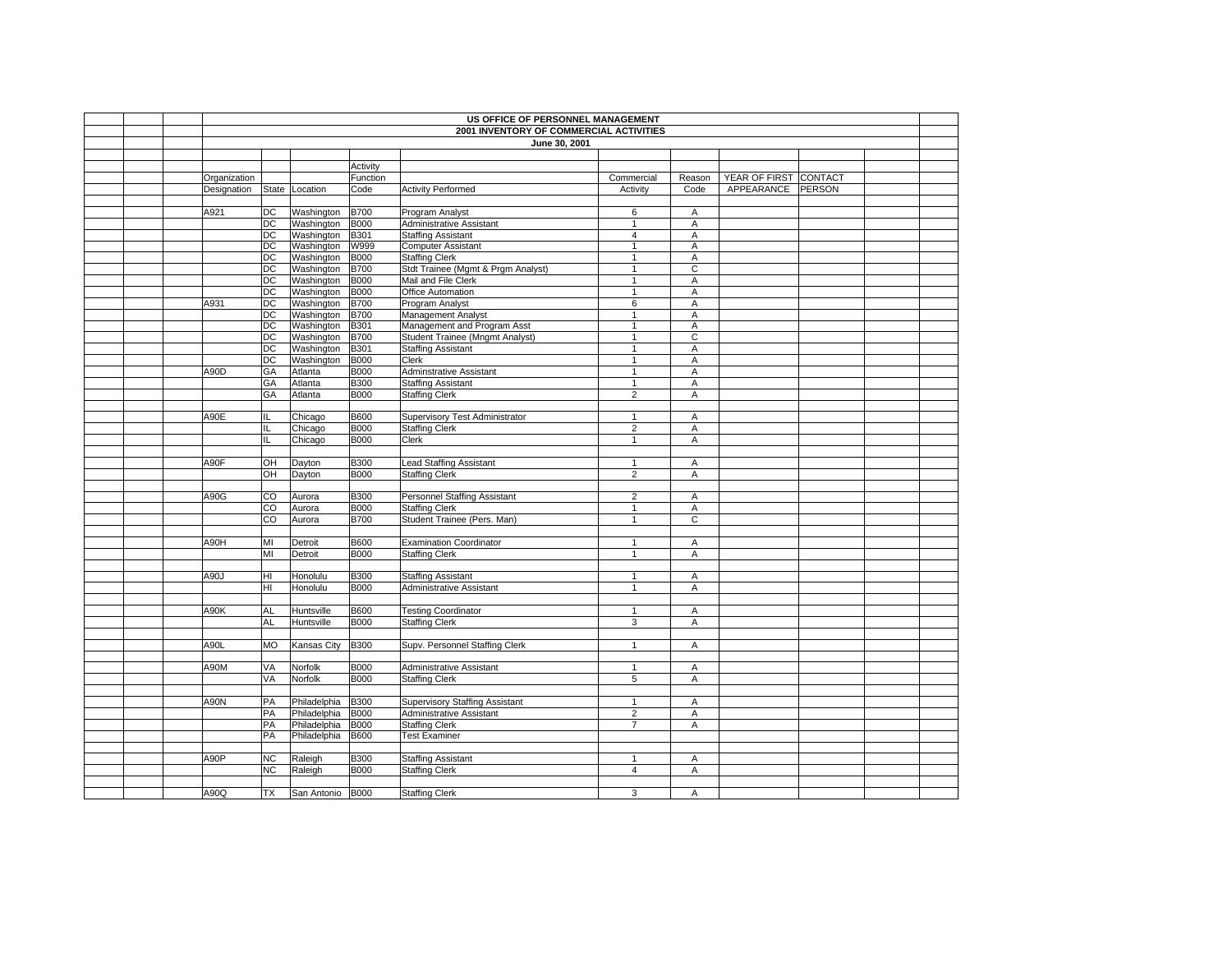|              | US OFFICE OF PERSONNEL MANAGEMENT<br>2001 INVENTORY OF COMMERCIAL ACTIVITIES |                  |                            |                                        |                   |                |                       |  |  |  |  |
|--------------|------------------------------------------------------------------------------|------------------|----------------------------|----------------------------------------|-------------------|----------------|-----------------------|--|--|--|--|
|              |                                                                              |                  |                            |                                        |                   |                |                       |  |  |  |  |
|              |                                                                              |                  |                            | June 30, 2001                          |                   |                |                       |  |  |  |  |
|              |                                                                              |                  | Activity                   |                                        |                   |                |                       |  |  |  |  |
| Organization |                                                                              |                  | Function                   |                                        | Commercial        |                | YEAR OF FIRST CONTACT |  |  |  |  |
| Designation  | State                                                                        | Location         | Code                       | <b>Activity Performed</b>              | Activity          | Reason<br>Code | APPEARANCE PERSON     |  |  |  |  |
|              |                                                                              |                  |                            |                                        |                   |                |                       |  |  |  |  |
| A921         | DC                                                                           | Washington       | <b>B700</b>                | Program Analyst                        | 6                 | Α              |                       |  |  |  |  |
|              | DC                                                                           | Washington       | <b>B000</b>                | Administrative Assistant               | $\mathbf{1}$      | A              |                       |  |  |  |  |
|              | DC                                                                           | Washington       | B301                       | <b>Staffing Assistant</b>              | $\overline{4}$    | A              |                       |  |  |  |  |
|              | $\overline{DC}$                                                              | Washington       | <b>W999</b>                | <b>Computer Assistant</b>              | $\overline{1}$    | A              |                       |  |  |  |  |
|              | DC                                                                           | Washington       | <b>B000</b>                | <b>Staffing Clerk</b>                  | $\mathbf{1}$      | A              |                       |  |  |  |  |
|              | DC                                                                           | Washington       |                            | Stdt Trainee (Mgmt & Prgm Analyst)     | $\mathbf{1}$      | $\overline{c}$ |                       |  |  |  |  |
|              | DC                                                                           | Washington       | <b>B700</b><br><b>B000</b> | Mail and File Clerk                    | $\mathbf{1}$      |                |                       |  |  |  |  |
|              |                                                                              |                  |                            |                                        |                   | Α              |                       |  |  |  |  |
| A931         | DC<br>$\overline{DC}$                                                        | Washington       | <b>B000</b>                | Office Automation                      | $\mathbf{1}$<br>6 | Α<br>A         |                       |  |  |  |  |
|              |                                                                              | Washington       | <b>B700</b>                | Program Analyst                        |                   |                |                       |  |  |  |  |
|              | $\overline{C}$                                                               | Washington       | <b>B700</b>                | Management Analyst                     | $\mathbf{1}$      | Α              |                       |  |  |  |  |
|              | $\overline{DC}$                                                              | Washington       | B301                       | Management and Program Asst            | $\mathbf{1}$      | Α              |                       |  |  |  |  |
|              | $\overline{C}$                                                               | Washington       | <b>B700</b>                | <b>Student Trainee (Mngmt Analyst)</b> | $\mathbf{1}$      | $\overline{c}$ |                       |  |  |  |  |
|              | DC                                                                           | Washington       | B301                       | <b>Staffing Assistant</b>              | $\mathbf{1}$      | Α              |                       |  |  |  |  |
|              | DC                                                                           | Washington       | <b>B000</b>                | Clerk                                  | $\mathbf{1}$      | Α              |                       |  |  |  |  |
| A90D         | GA                                                                           | Atlanta          | <b>B000</b>                | Adminstrative Assistant                | $\mathbf{1}$      | A              |                       |  |  |  |  |
|              | GA                                                                           | Atlanta          | <b>B300</b>                | <b>Staffing Assistant</b>              | $\mathbf{1}$      | A              |                       |  |  |  |  |
|              | GA                                                                           | Atlanta          | <b>B000</b>                | <b>Staffing Clerk</b>                  | $\overline{2}$    | A              |                       |  |  |  |  |
|              |                                                                              |                  |                            |                                        |                   |                |                       |  |  |  |  |
| A90E         | IL                                                                           | Chicago          | <b>B600</b>                | Supervisory Test Administrator         | $\mathbf{1}$      | A              |                       |  |  |  |  |
|              | IL                                                                           | Chicago          | <b>B000</b>                | <b>Staffing Clerk</b>                  | $\overline{2}$    | Α              |                       |  |  |  |  |
|              | IL                                                                           | Chicago          | <b>B000</b>                | Clerk                                  | $\mathbf{1}$      | A              |                       |  |  |  |  |
|              |                                                                              |                  |                            |                                        |                   |                |                       |  |  |  |  |
| A90F         | OH                                                                           | Dayton           | <b>B300</b>                | <b>Lead Staffing Assistant</b>         | $\mathbf{1}$      | Α              |                       |  |  |  |  |
|              | OН                                                                           | Dayton           | <b>B000</b>                | <b>Staffing Clerk</b>                  | $\overline{2}$    | Α              |                       |  |  |  |  |
|              |                                                                              |                  |                            |                                        |                   |                |                       |  |  |  |  |
| A90G         | $\overline{\text{co}}$                                                       | Aurora           | <b>B300</b>                | <b>Personnel Staffing Assistant</b>    | $\overline{2}$    | A              |                       |  |  |  |  |
|              | $\overline{c}$                                                               | Aurora           | <b>B000</b>                | <b>Staffing Clerk</b>                  | $\mathbf{1}$      | A              |                       |  |  |  |  |
|              | $\overline{c}$                                                               | Aurora           | <b>B700</b>                | Student Trainee (Pers. Man)            | $\mathbf{1}$      | $\overline{c}$ |                       |  |  |  |  |
|              |                                                                              |                  |                            |                                        |                   |                |                       |  |  |  |  |
| A90H         | MI                                                                           | Detroit          | <b>B600</b>                | <b>Examination Coordinator</b>         | $\mathbf{1}$      | A              |                       |  |  |  |  |
|              | MI                                                                           | Detroit          | <b>B000</b>                | <b>Staffing Clerk</b>                  | $\mathbf{1}$      | Α              |                       |  |  |  |  |
|              |                                                                              |                  |                            |                                        |                   |                |                       |  |  |  |  |
| A90J         | HI                                                                           | Honolulu         | <b>B300</b>                | <b>Staffing Assistant</b>              | $\mathbf{1}$      | A              |                       |  |  |  |  |
|              | HI                                                                           | Honolulu         | <b>B000</b>                | Administrative Assistant               | $\mathbf{1}$      | Α              |                       |  |  |  |  |
|              |                                                                              |                  |                            |                                        |                   |                |                       |  |  |  |  |
| A90K         | AL                                                                           | Huntsville       | <b>B600</b>                | <b>Testing Coordinator</b>             | $\mathbf{1}$      | Α              |                       |  |  |  |  |
|              | AL                                                                           | Huntsville       | <b>B000</b>                | <b>Staffing Clerk</b>                  | 3                 | A              |                       |  |  |  |  |
|              |                                                                              |                  |                            |                                        |                   |                |                       |  |  |  |  |
| A90L         | МO                                                                           | Kansas City      | <b>B300</b>                | Supv. Personnel Staffing Clerk         | $\mathbf{1}$      | Α              |                       |  |  |  |  |
|              |                                                                              |                  |                            |                                        |                   |                |                       |  |  |  |  |
| A90M         | VA                                                                           | Norfolk          | <b>B000</b>                | Administrative Assistant               | $\mathbf{1}$      | Α              |                       |  |  |  |  |
|              | VA                                                                           | Norfolk          | <b>B000</b>                | <b>Staffing Clerk</b>                  | 5                 | Α              |                       |  |  |  |  |
|              |                                                                              |                  |                            |                                        |                   |                |                       |  |  |  |  |
| <b>A90N</b>  | PA                                                                           | Philadelphia     | <b>B300</b>                | Supervisory Staffing Assistant         | $\mathbf{1}$      | A              |                       |  |  |  |  |
|              | PA                                                                           | Philadelphia     | <b>B000</b>                | Administrative Assistant               | $\overline{2}$    | A              |                       |  |  |  |  |
|              | PA                                                                           | Philadelphia     | <b>B000</b>                | <b>Staffing Clerk</b>                  | $\overline{7}$    | Α              |                       |  |  |  |  |
|              | PA                                                                           | Philadelphia     | <b>B600</b>                | <b>Test Examiner</b>                   |                   |                |                       |  |  |  |  |
|              |                                                                              |                  |                            |                                        |                   |                |                       |  |  |  |  |
| A90P         | NC                                                                           | Raleigh          | <b>B300</b>                | <b>Staffing Assistant</b>              | $\mathbf{1}$      | Α              |                       |  |  |  |  |
|              | NC.                                                                          | Raleigh          | <b>B000</b>                | <b>Staffing Clerk</b>                  | 4                 | A              |                       |  |  |  |  |
|              |                                                                              |                  |                            |                                        |                   |                |                       |  |  |  |  |
| A90Q         | ТX                                                                           | San Antonio B000 |                            | <b>Staffing Clerk</b>                  | 3                 | Α              |                       |  |  |  |  |
|              |                                                                              |                  |                            |                                        |                   |                |                       |  |  |  |  |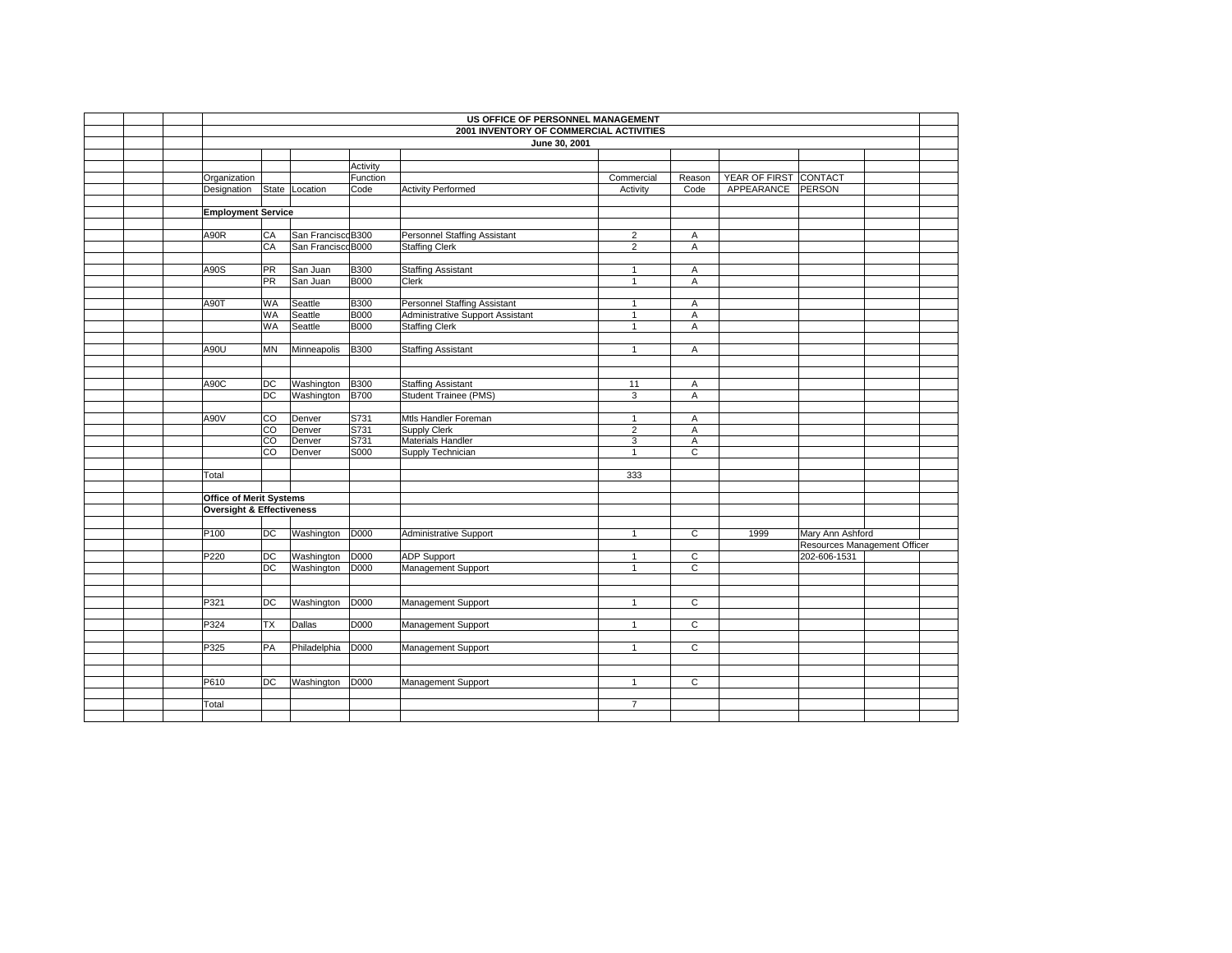|                                      | US OFFICE OF PERSONNEL MANAGEMENT<br>2001 INVENTORY OF COMMERCIAL ACTIVITIES |                    |              |                                      |                                |                |                       |                              |  |  |  |  |  |
|--------------------------------------|------------------------------------------------------------------------------|--------------------|--------------|--------------------------------------|--------------------------------|----------------|-----------------------|------------------------------|--|--|--|--|--|
|                                      |                                                                              |                    |              | June 30, 2001                        |                                |                |                       |                              |  |  |  |  |  |
|                                      |                                                                              |                    |              |                                      |                                |                |                       |                              |  |  |  |  |  |
|                                      |                                                                              |                    | Activity     |                                      |                                |                |                       |                              |  |  |  |  |  |
| Organization                         |                                                                              |                    | Function     |                                      | Commercial                     | Reason         | YEAR OF FIRST CONTACT |                              |  |  |  |  |  |
| Designation                          |                                                                              | State Location     | Code         | <b>Activity Performed</b>            | Activity                       | Code           | APPEARANCE PERSON     |                              |  |  |  |  |  |
|                                      |                                                                              |                    |              |                                      |                                |                |                       |                              |  |  |  |  |  |
| <b>Employment Service</b>            |                                                                              |                    |              |                                      |                                |                |                       |                              |  |  |  |  |  |
|                                      |                                                                              |                    |              |                                      |                                |                |                       |                              |  |  |  |  |  |
| A90R                                 | CA                                                                           | San Francisco B300 |              | <b>Personnel Staffing Assistant</b>  | $\overline{2}$                 | A              |                       |                              |  |  |  |  |  |
|                                      | CA                                                                           | San Francisco B000 |              | <b>Staffing Clerk</b>                | $\overline{2}$                 | A              |                       |                              |  |  |  |  |  |
|                                      |                                                                              |                    |              |                                      |                                |                |                       |                              |  |  |  |  |  |
| A90S                                 | PR                                                                           | San Juan           | <b>B300</b>  | <b>Staffing Assistant</b>            | $\mathbf{1}$                   | A              |                       |                              |  |  |  |  |  |
|                                      | $\overline{PR}$                                                              | San Juan           | <b>B000</b>  | Clerk                                | $\mathbf{1}$                   | A              |                       |                              |  |  |  |  |  |
|                                      |                                                                              |                    |              |                                      |                                |                |                       |                              |  |  |  |  |  |
| A90T                                 | WA                                                                           | Seattle            | <b>B300</b>  | Personnel Staffing Assistant         | $\mathbf{1}$                   | A              |                       |                              |  |  |  |  |  |
|                                      | WA                                                                           | Seattle            | <b>B000</b>  | Administrative Support Assistant     | $\mathbf{1}$                   | A              |                       |                              |  |  |  |  |  |
|                                      | <b>WA</b>                                                                    | Seattle            | <b>B000</b>  | <b>Staffing Clerk</b>                | $\mathbf{1}$                   | A              |                       |                              |  |  |  |  |  |
|                                      |                                                                              |                    |              |                                      |                                |                |                       |                              |  |  |  |  |  |
| A90U                                 | ΜN                                                                           | Minneapolis        | <b>B300</b>  | <b>Staffing Assistant</b>            | $\mathbf{1}$                   | A              |                       |                              |  |  |  |  |  |
|                                      |                                                                              |                    |              |                                      |                                |                |                       |                              |  |  |  |  |  |
|                                      |                                                                              |                    |              |                                      |                                |                |                       |                              |  |  |  |  |  |
| A90C                                 | DC                                                                           | Washington         | <b>B300</b>  | <b>Staffing Assistant</b>            | 11                             | Α              |                       |                              |  |  |  |  |  |
|                                      | $\overline{DC}$                                                              | Washington         | <b>B700</b>  | Student Trainee (PMS)                | 3                              | A              |                       |                              |  |  |  |  |  |
|                                      |                                                                              |                    |              |                                      |                                |                |                       |                              |  |  |  |  |  |
| A90V                                 | CO<br>$\overline{co}$                                                        | Denver<br>Denver   | S731<br>S731 | Mtls Handler Foreman<br>Supply Clerk | $\mathbf{1}$<br>$\overline{2}$ | A<br>Α         |                       |                              |  |  |  |  |  |
|                                      | $\overline{c}$                                                               | Denver             | S731         | Materials Handler                    | 3                              | A              |                       |                              |  |  |  |  |  |
|                                      | CO                                                                           | Denver             | S000         | Supply Technician                    | $\mathbf{1}$                   | C              |                       |                              |  |  |  |  |  |
|                                      |                                                                              |                    |              |                                      |                                |                |                       |                              |  |  |  |  |  |
| Total                                |                                                                              |                    |              |                                      | 333                            |                |                       |                              |  |  |  |  |  |
|                                      |                                                                              |                    |              |                                      |                                |                |                       |                              |  |  |  |  |  |
| <b>Office of Merit Systems</b>       |                                                                              |                    |              |                                      |                                |                |                       |                              |  |  |  |  |  |
| <b>Oversight &amp; Effectiveness</b> |                                                                              |                    |              |                                      |                                |                |                       |                              |  |  |  |  |  |
|                                      |                                                                              |                    |              |                                      |                                |                |                       |                              |  |  |  |  |  |
| P100                                 | DC                                                                           | Washington         | <b>D000</b>  | Administrative Support               | $\mathbf{1}$                   | C              | 1999                  | Mary Ann Ashford             |  |  |  |  |  |
|                                      |                                                                              |                    |              |                                      |                                |                |                       | Resources Management Officer |  |  |  |  |  |
| P220                                 | $\overline{C}$                                                               | Washington         | D000         | <b>ADP Support</b>                   | $\mathbf{1}$                   | $\overline{c}$ |                       | 202-606-1531                 |  |  |  |  |  |
|                                      | DC                                                                           | Washington         | <b>D000</b>  | Management Support                   |                                | $\overline{c}$ |                       |                              |  |  |  |  |  |
|                                      |                                                                              |                    |              |                                      |                                |                |                       |                              |  |  |  |  |  |
|                                      |                                                                              |                    |              |                                      |                                |                |                       |                              |  |  |  |  |  |
| P321                                 | DC                                                                           | Washington D000    |              | Management Support                   | $\mathbf{1}$                   | C              |                       |                              |  |  |  |  |  |
|                                      |                                                                              |                    |              |                                      |                                |                |                       |                              |  |  |  |  |  |
| P324                                 | ТX                                                                           | Dallas             | <b>D000</b>  | Management Support                   | $\mathbf{1}$                   | $\overline{C}$ |                       |                              |  |  |  |  |  |
|                                      |                                                                              |                    |              |                                      |                                |                |                       |                              |  |  |  |  |  |
| P325                                 | PA                                                                           | Philadelphia       | D000         | Management Support                   | $\mathbf{1}$                   | $\overline{C}$ |                       |                              |  |  |  |  |  |
|                                      |                                                                              |                    |              |                                      |                                |                |                       |                              |  |  |  |  |  |
|                                      |                                                                              |                    |              |                                      |                                |                |                       |                              |  |  |  |  |  |
| P610                                 | DC                                                                           | Washington         | <b>D000</b>  | Management Support                   | $\mathbf{1}$                   | $\overline{c}$ |                       |                              |  |  |  |  |  |
|                                      |                                                                              |                    |              |                                      |                                |                |                       |                              |  |  |  |  |  |
| Total                                |                                                                              |                    |              |                                      | $\overline{7}$                 |                |                       |                              |  |  |  |  |  |
|                                      |                                                                              |                    |              |                                      |                                |                |                       |                              |  |  |  |  |  |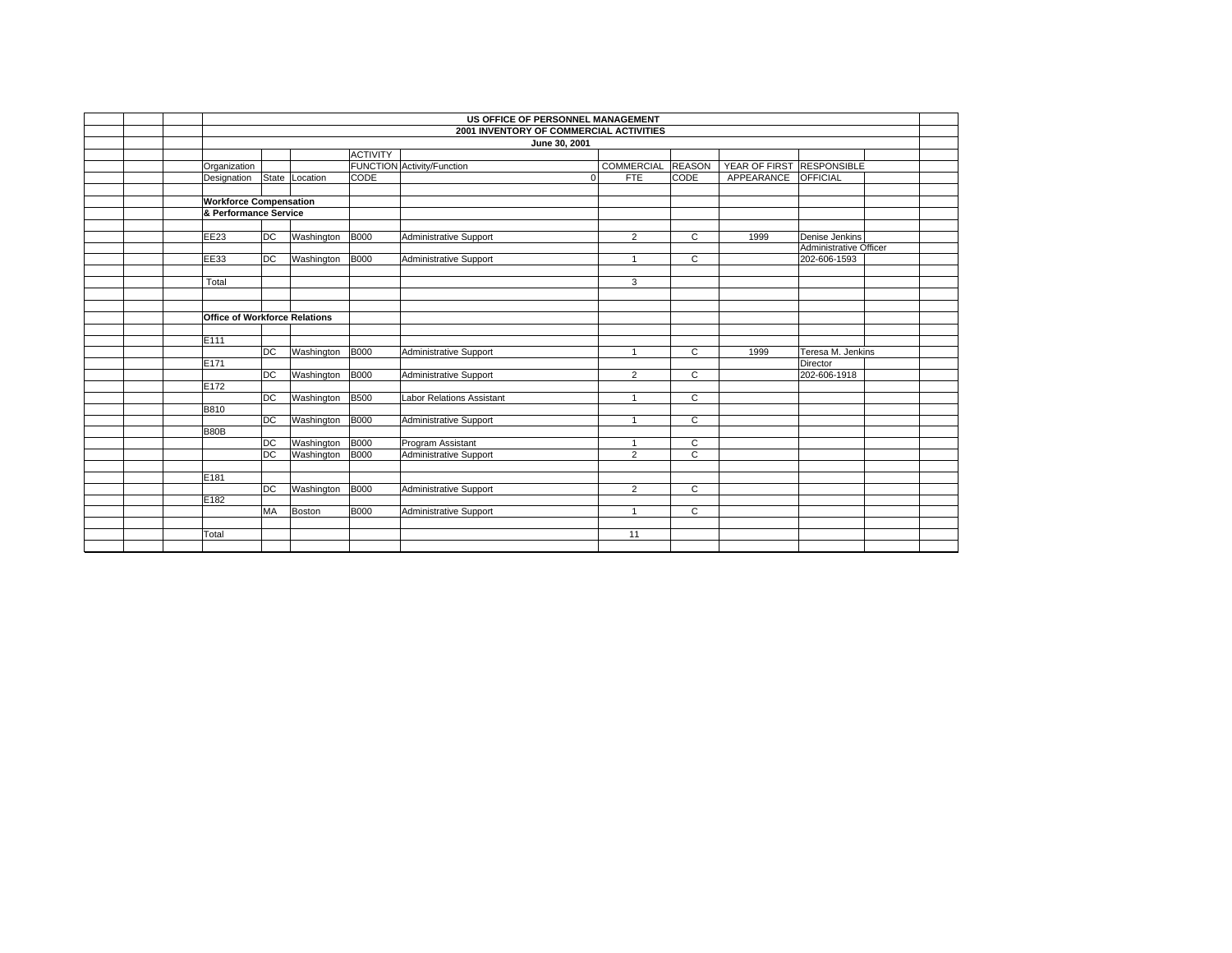|                                      | US OFFICE OF PERSONNEL MANAGEMENT |            |                 |                                         |                   |                |                           |                                        |  |  |  |  |  |
|--------------------------------------|-----------------------------------|------------|-----------------|-----------------------------------------|-------------------|----------------|---------------------------|----------------------------------------|--|--|--|--|--|
|                                      |                                   |            |                 | 2001 INVENTORY OF COMMERCIAL ACTIVITIES |                   |                |                           |                                        |  |  |  |  |  |
|                                      |                                   |            |                 | June 30, 2001                           |                   |                |                           |                                        |  |  |  |  |  |
|                                      |                                   |            | <b>ACTIVITY</b> |                                         |                   |                |                           |                                        |  |  |  |  |  |
| Organization                         |                                   |            |                 | <b>FUNCTION Activity/Function</b>       | <b>COMMERCIAL</b> | <b>REASON</b>  | YEAR OF FIRST RESPONSIBLE |                                        |  |  |  |  |  |
| Designation                          | State                             | Location   | CODE            | $\mathbf 0$                             | <b>FTE</b>        | <b>CODE</b>    | APPEARANCE OFFICIAL       |                                        |  |  |  |  |  |
|                                      |                                   |            |                 |                                         |                   |                |                           |                                        |  |  |  |  |  |
| <b>Workforce Compensation</b>        |                                   |            |                 |                                         |                   |                |                           |                                        |  |  |  |  |  |
| & Performance Service                |                                   |            |                 |                                         |                   |                |                           |                                        |  |  |  |  |  |
|                                      |                                   |            |                 |                                         |                   |                |                           |                                        |  |  |  |  |  |
| EE23                                 | DC                                | Washington | <b>B000</b>     | <b>Administrative Support</b>           | $\overline{2}$    | $\mathsf{C}$   | 1999                      | Denise Jenkins                         |  |  |  |  |  |
| <b>EE33</b>                          | DC                                |            | <b>B000</b>     |                                         |                   | C              |                           | Administrative Officer<br>202-606-1593 |  |  |  |  |  |
|                                      |                                   | Washington |                 | Administrative Support                  |                   |                |                           |                                        |  |  |  |  |  |
| Total                                |                                   |            |                 |                                         | 3                 |                |                           |                                        |  |  |  |  |  |
|                                      |                                   |            |                 |                                         |                   |                |                           |                                        |  |  |  |  |  |
|                                      |                                   |            |                 |                                         |                   |                |                           |                                        |  |  |  |  |  |
| <b>Office of Workforce Relations</b> |                                   |            |                 |                                         |                   |                |                           |                                        |  |  |  |  |  |
|                                      |                                   |            |                 |                                         |                   |                |                           |                                        |  |  |  |  |  |
| E111                                 |                                   |            |                 |                                         |                   |                |                           |                                        |  |  |  |  |  |
|                                      | $\overline{DC}$                   | Washington | <b>B000</b>     | Administrative Support                  |                   | $\overline{c}$ | 1999                      | Teresa M. Jenkins                      |  |  |  |  |  |
| E171                                 |                                   |            |                 |                                         |                   |                |                           | Director                               |  |  |  |  |  |
|                                      | $\overline{DC}$                   | Washington | <b>B000</b>     | Administrative Support                  | $\overline{2}$    | $\mathsf{C}$   |                           | 202-606-1918                           |  |  |  |  |  |
| E172                                 |                                   |            |                 |                                         |                   |                |                           |                                        |  |  |  |  |  |
|                                      | $\overline{DC}$                   | Washington | <b>B500</b>     | <b>Labor Relations Assistant</b>        | $\overline{1}$    | $\overline{c}$ |                           |                                        |  |  |  |  |  |
| <b>B810</b>                          |                                   |            |                 |                                         |                   |                |                           |                                        |  |  |  |  |  |
|                                      | DC                                | Washington | <b>B000</b>     | Administrative Support                  | $\overline{1}$    | C              |                           |                                        |  |  |  |  |  |
| <b>B80B</b>                          | DC                                | Washington | <b>B000</b>     | Program Assistant                       | $\mathbf{1}$      | С              |                           |                                        |  |  |  |  |  |
|                                      | DC                                | Washington | <b>B000</b>     | Administrative Support                  | $\overline{2}$    | $\overline{c}$ |                           |                                        |  |  |  |  |  |
|                                      |                                   |            |                 |                                         |                   |                |                           |                                        |  |  |  |  |  |
| E181                                 |                                   |            |                 |                                         |                   |                |                           |                                        |  |  |  |  |  |
|                                      | DC                                | Washington | <b>B000</b>     | Administrative Support                  | $\overline{2}$    | $\mathsf{C}$   |                           |                                        |  |  |  |  |  |
| E182                                 |                                   |            |                 |                                         |                   |                |                           |                                        |  |  |  |  |  |
|                                      | MA                                | Boston     | <b>B000</b>     | Administrative Support                  | $\overline{ }$    | C              |                           |                                        |  |  |  |  |  |
|                                      |                                   |            |                 |                                         |                   |                |                           |                                        |  |  |  |  |  |
| Total                                |                                   |            |                 |                                         | 11                |                |                           |                                        |  |  |  |  |  |
|                                      |                                   |            |                 |                                         |                   |                |                           |                                        |  |  |  |  |  |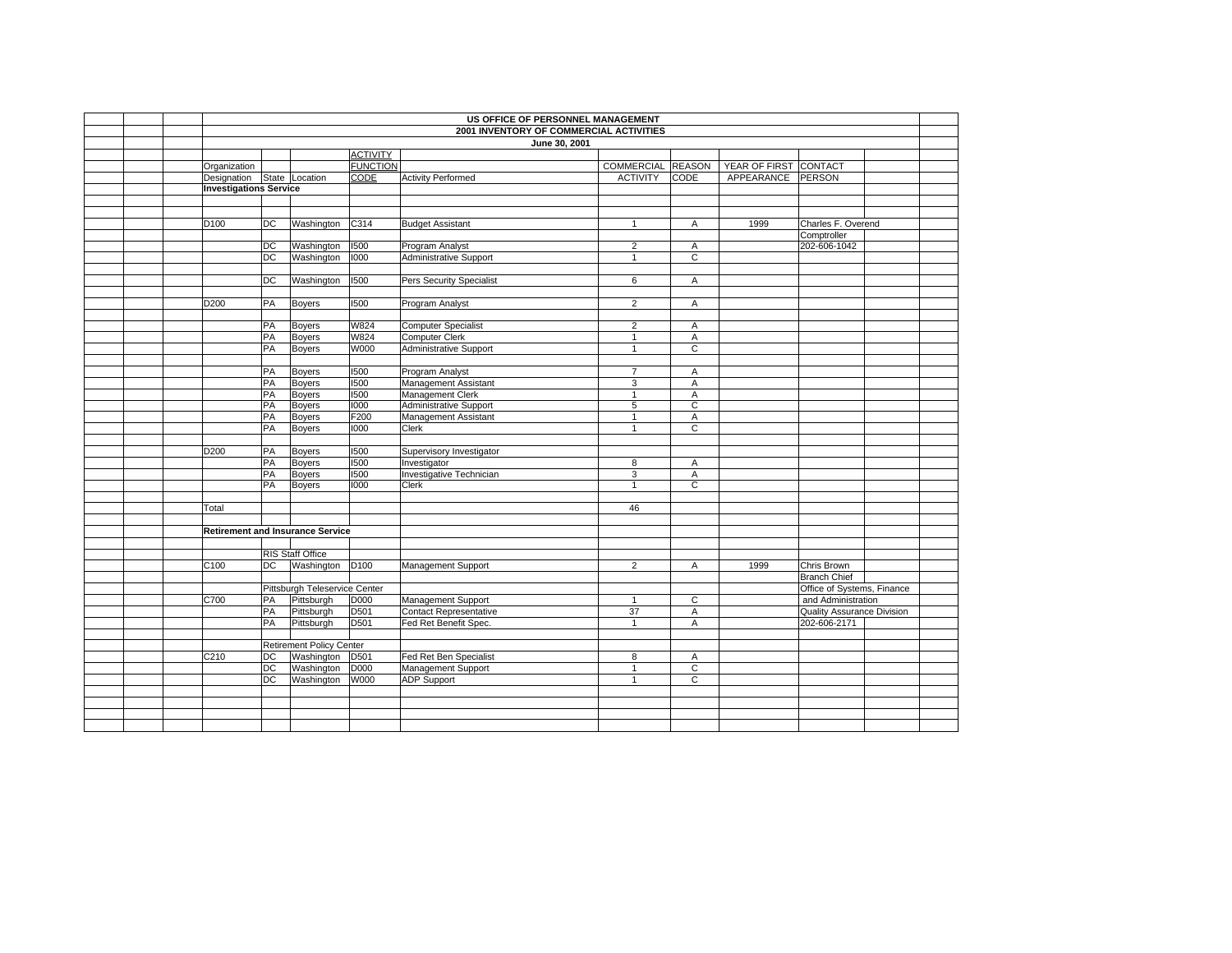|  | US OFFICE OF PERSONNEL MANAGEMENT |    |                                         |                 |                                         |                   |                |                       |                            |  |  |
|--|-----------------------------------|----|-----------------------------------------|-----------------|-----------------------------------------|-------------------|----------------|-----------------------|----------------------------|--|--|
|  |                                   |    |                                         |                 | 2001 INVENTORY OF COMMERCIAL ACTIVITIES |                   |                |                       |                            |  |  |
|  |                                   |    |                                         |                 | June 30, 2001                           |                   |                |                       |                            |  |  |
|  |                                   |    |                                         | <b>ACTIVITY</b> |                                         |                   |                |                       |                            |  |  |
|  | Organization                      |    |                                         | <b>FUNCTION</b> |                                         | COMMERCIAL REASON |                | YEAR OF FIRST CONTACT |                            |  |  |
|  | Designation State Location        |    |                                         | CODE            | <b>Activity Performed</b>               | <b>ACTIVITY</b>   | <b>CODE</b>    | APPEARANCE            | PERSON                     |  |  |
|  | <b>Investigations Service</b>     |    |                                         |                 |                                         |                   |                |                       |                            |  |  |
|  |                                   |    |                                         |                 |                                         |                   |                |                       |                            |  |  |
|  |                                   |    |                                         |                 |                                         |                   |                |                       |                            |  |  |
|  | D <sub>100</sub>                  | DC | Washington                              | C314            | <b>Budget Assistant</b>                 | $\mathbf{1}$      | A              | 1999                  | Charles F. Overend         |  |  |
|  |                                   |    |                                         |                 |                                         |                   |                |                       | Comptroller                |  |  |
|  |                                   | DC | Washington                              | 1500            | Program Analyst                         | $\overline{2}$    | Α              |                       | 202-606-1042               |  |  |
|  |                                   | DC | Washington                              | 1000            | <b>Administrative Support</b>           | $\mathbf{1}$      | $\overline{c}$ |                       |                            |  |  |
|  |                                   |    |                                         |                 |                                         |                   |                |                       |                            |  |  |
|  |                                   | DC | Washington                              | 1500            | Pers Security Specialist                | 6                 | Α              |                       |                            |  |  |
|  |                                   |    |                                         |                 |                                         |                   |                |                       |                            |  |  |
|  | D200                              | PA | <b>Boyers</b>                           | 1500            | Program Analyst                         | $\overline{2}$    | Α              |                       |                            |  |  |
|  |                                   |    |                                         |                 |                                         |                   |                |                       |                            |  |  |
|  |                                   | PA | Boyers                                  | W824            | Computer Specialist                     | $\overline{2}$    | A              |                       |                            |  |  |
|  |                                   | PA | Boyers                                  | W824            | <b>Computer Clerk</b>                   | $\mathbf{1}$      | A              |                       |                            |  |  |
|  |                                   | PA | <b>Boyers</b>                           | W000            | <b>Administrative Support</b>           | $\mathbf{1}$      | $\mathsf C$    |                       |                            |  |  |
|  |                                   |    |                                         |                 |                                         |                   |                |                       |                            |  |  |
|  |                                   | PA | <b>Boyers</b>                           | 1500            | Program Analyst                         | $\overline{7}$    | A              |                       |                            |  |  |
|  |                                   | PA | Boyers                                  | 1500            | Management Assistant                    | 3                 | A              |                       |                            |  |  |
|  |                                   | PA | <b>Boyers</b>                           | 1500            | Management Clerk                        | $\mathbf{1}$      | A              |                       |                            |  |  |
|  |                                   | PA | Boyers                                  | 1000            | <b>Administrative Support</b>           | 5                 | C              |                       |                            |  |  |
|  |                                   | PA | <b>Boyers</b>                           | F200            | <b>Management Assistant</b>             | $\mathbf{1}$      | A              |                       |                            |  |  |
|  |                                   | PA | <b>Boyers</b>                           | 1000            | Clerk                                   | $\mathbf{1}$      | C              |                       |                            |  |  |
|  |                                   |    |                                         |                 |                                         |                   |                |                       |                            |  |  |
|  | D <sub>200</sub>                  | PA | <b>Boyers</b>                           | 1500            | Supervisory Investigator                |                   |                |                       |                            |  |  |
|  |                                   | PA | Boyers                                  | 1500            | Investigator                            | 8                 | Α              |                       |                            |  |  |
|  |                                   | PA | Boyers                                  | 1500<br>1000    | Investigative Technician                | 3                 | A              |                       |                            |  |  |
|  |                                   | PA | <b>Boyers</b>                           |                 | Clerk                                   | $\mathbf{1}$      | $\overline{c}$ |                       |                            |  |  |
|  |                                   |    |                                         |                 |                                         | 46                |                |                       |                            |  |  |
|  | Total                             |    |                                         |                 |                                         |                   |                |                       |                            |  |  |
|  |                                   |    | <b>Retirement and Insurance Service</b> |                 |                                         |                   |                |                       |                            |  |  |
|  |                                   |    |                                         |                 |                                         |                   |                |                       |                            |  |  |
|  |                                   |    | RIS Staff Office                        |                 |                                         |                   |                |                       |                            |  |  |
|  | C100                              | DC | Washington D100                         |                 | Management Support                      | $\overline{2}$    | A              | 1999                  | Chris Brown                |  |  |
|  |                                   |    |                                         |                 |                                         |                   |                |                       | <b>Branch Chief</b>        |  |  |
|  |                                   |    | Pittsburgh Teleservice Center           |                 |                                         |                   |                |                       | Office of Systems, Finance |  |  |
|  | C700                              | PA | Pittsburgh                              | D000            | Management Support                      | $\mathbf{1}$      | $\overline{c}$ |                       | and Administration         |  |  |
|  |                                   | PA | Pittsburgh                              | D501            | <b>Contact Representative</b>           | 37                | Α              |                       | Quality Assurance Division |  |  |
|  |                                   | PA | Pittsburgh                              | D501            | Fed Ret Benefit Spec.                   | $\mathbf{1}$      | $\overline{A}$ |                       | 202-606-2171               |  |  |
|  |                                   |    |                                         |                 |                                         |                   |                |                       |                            |  |  |
|  |                                   |    | <b>Retirement Policy Center</b>         |                 |                                         |                   |                |                       |                            |  |  |
|  | C210                              | DC | Washington D501                         |                 | Fed Ret Ben Specialist                  | 8                 | A              |                       |                            |  |  |
|  |                                   | DC | Washington                              | <b>D000</b>     | Management Support                      | $\mathbf{1}$      | C              |                       |                            |  |  |
|  |                                   | DC | Washington                              | W000            | <b>ADP Support</b>                      | 1                 | $\mathsf{C}$   |                       |                            |  |  |
|  |                                   |    |                                         |                 |                                         |                   |                |                       |                            |  |  |
|  |                                   |    |                                         |                 |                                         |                   |                |                       |                            |  |  |
|  |                                   |    |                                         |                 |                                         |                   |                |                       |                            |  |  |
|  |                                   |    |                                         |                 |                                         |                   |                |                       |                            |  |  |
|  |                                   |    |                                         |                 |                                         |                   |                |                       |                            |  |  |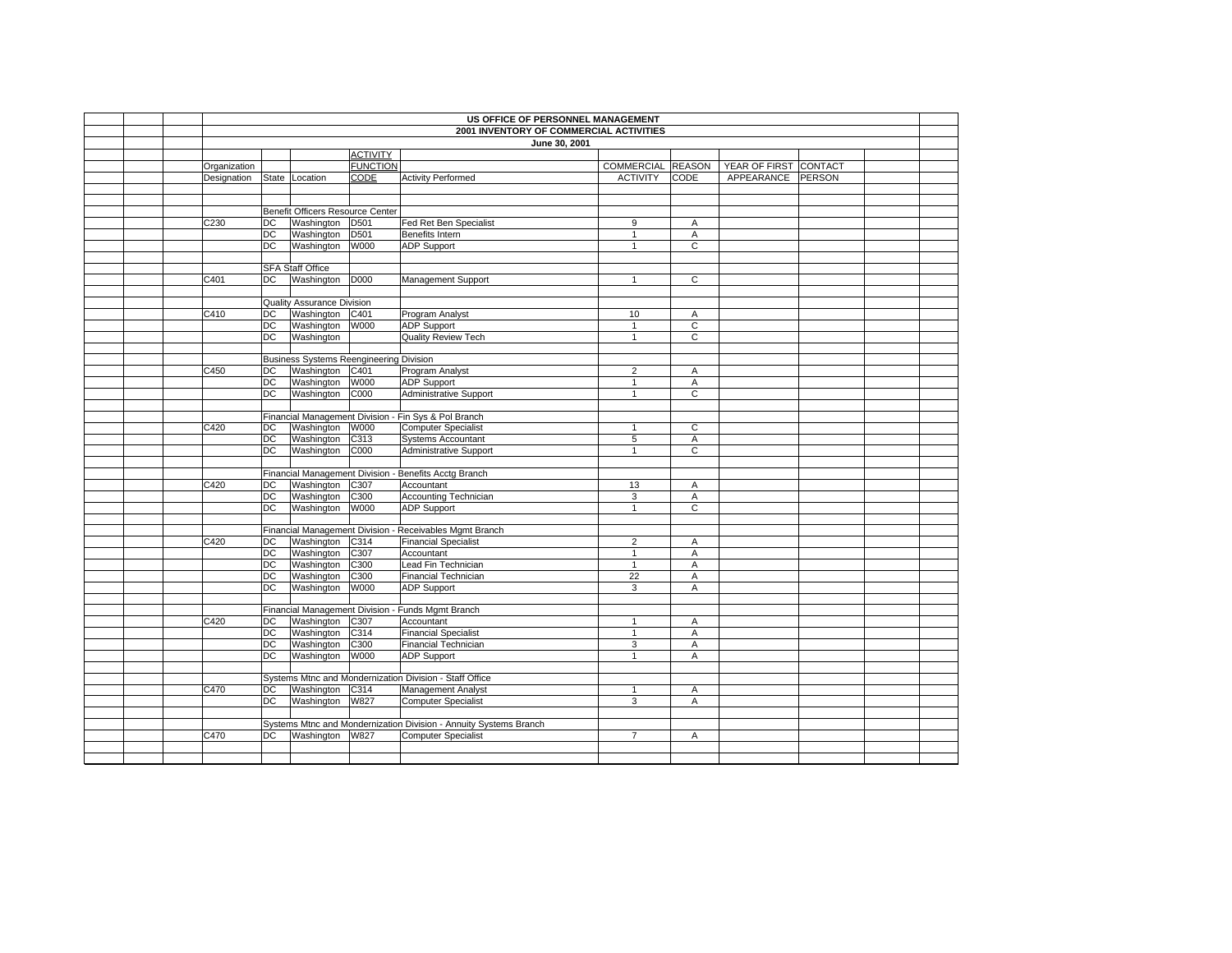|              | US OFFICE OF PERSONNEL MANAGEMENT<br>2001 INVENTORY OF COMMERCIAL ACTIVITIES |                                                |                  |                                                                                        |                              |                     |                       |        |  |  |  |
|--------------|------------------------------------------------------------------------------|------------------------------------------------|------------------|----------------------------------------------------------------------------------------|------------------------------|---------------------|-----------------------|--------|--|--|--|
|              |                                                                              |                                                |                  | June 30, 2001                                                                          |                              |                     |                       |        |  |  |  |
|              |                                                                              |                                                | <b>ACTIVITY</b>  |                                                                                        |                              |                     |                       |        |  |  |  |
| Organization |                                                                              |                                                | <b>FUNCTION</b>  |                                                                                        | COMMERCIAL REASON            |                     | YEAR OF FIRST CONTACT |        |  |  |  |
| Designation  |                                                                              | State Location                                 | CODE             | <b>Activity Performed</b>                                                              | <b>ACTIVITY</b>              | <b>CODE</b>         | APPEARANCE            | PERSON |  |  |  |
|              |                                                                              |                                                |                  |                                                                                        |                              |                     |                       |        |  |  |  |
|              |                                                                              |                                                |                  |                                                                                        |                              |                     |                       |        |  |  |  |
|              |                                                                              | Benefit Officers Resource Center               |                  |                                                                                        |                              |                     |                       |        |  |  |  |
| C230         | DC                                                                           | Washington                                     | D <sub>501</sub> | Fed Ret Ben Specialist                                                                 | 9                            | A                   |                       |        |  |  |  |
|              | DC                                                                           | Washington                                     | D501             | Benefits Intern                                                                        | $\mathbf{1}$                 | Α                   |                       |        |  |  |  |
|              | DC                                                                           | Washington W000                                |                  | <b>ADP Support</b>                                                                     | $\mathbf{1}$                 | C                   |                       |        |  |  |  |
|              |                                                                              |                                                |                  |                                                                                        |                              |                     |                       |        |  |  |  |
|              |                                                                              | <b>SFA Staff Office</b>                        |                  |                                                                                        |                              |                     |                       |        |  |  |  |
| C401         | DC                                                                           | Washington D000                                |                  | Management Support                                                                     | 1                            | $\overline{c}$      |                       |        |  |  |  |
|              |                                                                              |                                                |                  |                                                                                        |                              |                     |                       |        |  |  |  |
|              |                                                                              | <b>Quality Assurance Division</b>              |                  |                                                                                        |                              |                     |                       |        |  |  |  |
| C410         | DC.                                                                          | Washington C401                                |                  | Program Analyst                                                                        | 10                           | Α                   |                       |        |  |  |  |
|              | DC                                                                           | Washington                                     | W000             | <b>ADP Support</b>                                                                     | $\mathbf{1}$                 | $\mathbf C$         |                       |        |  |  |  |
|              | $\overline{DC}$                                                              | Washington                                     |                  | <b>Quality Review Tech</b>                                                             | $\mathbf{1}$                 | $\overline{c}$      |                       |        |  |  |  |
|              |                                                                              |                                                |                  |                                                                                        |                              |                     |                       |        |  |  |  |
|              |                                                                              | <b>Business Systems Reengineering Division</b> |                  |                                                                                        |                              |                     |                       |        |  |  |  |
| C450         | DC                                                                           | Washington C401                                |                  | Program Analyst                                                                        | $\overline{2}$               | A                   |                       |        |  |  |  |
|              | $\overline{C}$                                                               | Washington                                     | W000             | <b>ADP</b> Support                                                                     | $\mathbf{1}$                 | A                   |                       |        |  |  |  |
|              | DC                                                                           | Washington C000                                |                  | <b>Administrative Support</b>                                                          | $\mathbf{1}$                 | C                   |                       |        |  |  |  |
|              |                                                                              |                                                |                  |                                                                                        |                              |                     |                       |        |  |  |  |
|              |                                                                              |                                                |                  | Financial Management Division - Fin Sys & Pol Branch                                   |                              |                     |                       |        |  |  |  |
| C420         | DC                                                                           | Washington W000                                |                  | <b>Computer Specialist</b>                                                             | $\mathbf{1}$                 | С                   |                       |        |  |  |  |
|              | DC                                                                           | Washington C313                                |                  | <b>Systems Accountant</b>                                                              | 5                            | A                   |                       |        |  |  |  |
|              | DC                                                                           | Washington C000                                |                  | <b>Administrative Support</b>                                                          | $\mathbf{1}$                 | C                   |                       |        |  |  |  |
|              |                                                                              |                                                |                  |                                                                                        |                              |                     |                       |        |  |  |  |
|              |                                                                              |                                                |                  | Financial Management Division - Benefits Acctg Branch                                  |                              |                     |                       |        |  |  |  |
| C420         | DC                                                                           | Washington C307                                |                  | Accountant                                                                             | 13                           | A                   |                       |        |  |  |  |
|              | $\overline{C}$                                                               | Washington                                     | C300             | <b>Accounting Technician</b>                                                           | 3                            | A                   |                       |        |  |  |  |
|              | DC                                                                           | Washington W000                                |                  | <b>ADP</b> Support                                                                     | $\mathbf{1}$                 | $\overline{c}$      |                       |        |  |  |  |
|              |                                                                              |                                                |                  |                                                                                        |                              |                     |                       |        |  |  |  |
| C420         | DC                                                                           |                                                |                  | Financial Management Division - Receivables Mgmt Branch<br><b>Financial Specialist</b> | $\overline{c}$               |                     |                       |        |  |  |  |
|              | DC                                                                           | Washington C314<br>Washington                  | C307             |                                                                                        |                              | Α                   |                       |        |  |  |  |
|              | DC                                                                           | Washington C300                                |                  | Accountant<br>Lead Fin Technician                                                      | $\mathbf{1}$<br>$\mathbf{1}$ | $\overline{A}$<br>Α |                       |        |  |  |  |
|              | <b>DC</b>                                                                    | Washington                                     | C300             | Financial Technician                                                                   | $\overline{22}$              | A                   |                       |        |  |  |  |
|              | DC                                                                           | Washington                                     | W000             | <b>ADP Support</b>                                                                     | 3                            | Α                   |                       |        |  |  |  |
|              |                                                                              |                                                |                  |                                                                                        |                              |                     |                       |        |  |  |  |
|              |                                                                              |                                                |                  | Financial Management Division - Funds Mgmt Branch                                      |                              |                     |                       |        |  |  |  |
| C420         | DC                                                                           | Washington C307                                |                  | Accountant                                                                             | 1                            | A                   |                       |        |  |  |  |
|              | DC                                                                           | Washington C314                                |                  | <b>Financial Specialist</b>                                                            | $\mathbf{1}$                 | Α                   |                       |        |  |  |  |
|              | DC                                                                           | Washington                                     | C300             | Financial Technician                                                                   | 3                            | Α                   |                       |        |  |  |  |
|              | DC                                                                           | Washington                                     | W000             | <b>ADP Support</b>                                                                     | $\mathbf{1}$                 | A                   |                       |        |  |  |  |
|              |                                                                              |                                                |                  |                                                                                        |                              |                     |                       |        |  |  |  |
|              |                                                                              |                                                |                  | Systems Mtnc and Mondernization Division - Staff Office                                |                              |                     |                       |        |  |  |  |
| C470         | DC                                                                           | Washington C314                                |                  | Management Analyst                                                                     | $\mathbf{1}$                 | Α                   |                       |        |  |  |  |
|              | DC                                                                           | Washington W827                                |                  | <b>Computer Specialist</b>                                                             | 3                            | Α                   |                       |        |  |  |  |
|              |                                                                              |                                                |                  |                                                                                        |                              |                     |                       |        |  |  |  |
|              |                                                                              |                                                |                  | Systems Mtnc and Mondernization Division - Annuity Systems Branch                      |                              |                     |                       |        |  |  |  |
| C470         | DC                                                                           | Washington W827                                |                  | <b>Computer Specialist</b>                                                             | $\overline{7}$               | A                   |                       |        |  |  |  |
|              |                                                                              |                                                |                  |                                                                                        |                              |                     |                       |        |  |  |  |
|              |                                                                              |                                                |                  |                                                                                        |                              |                     |                       |        |  |  |  |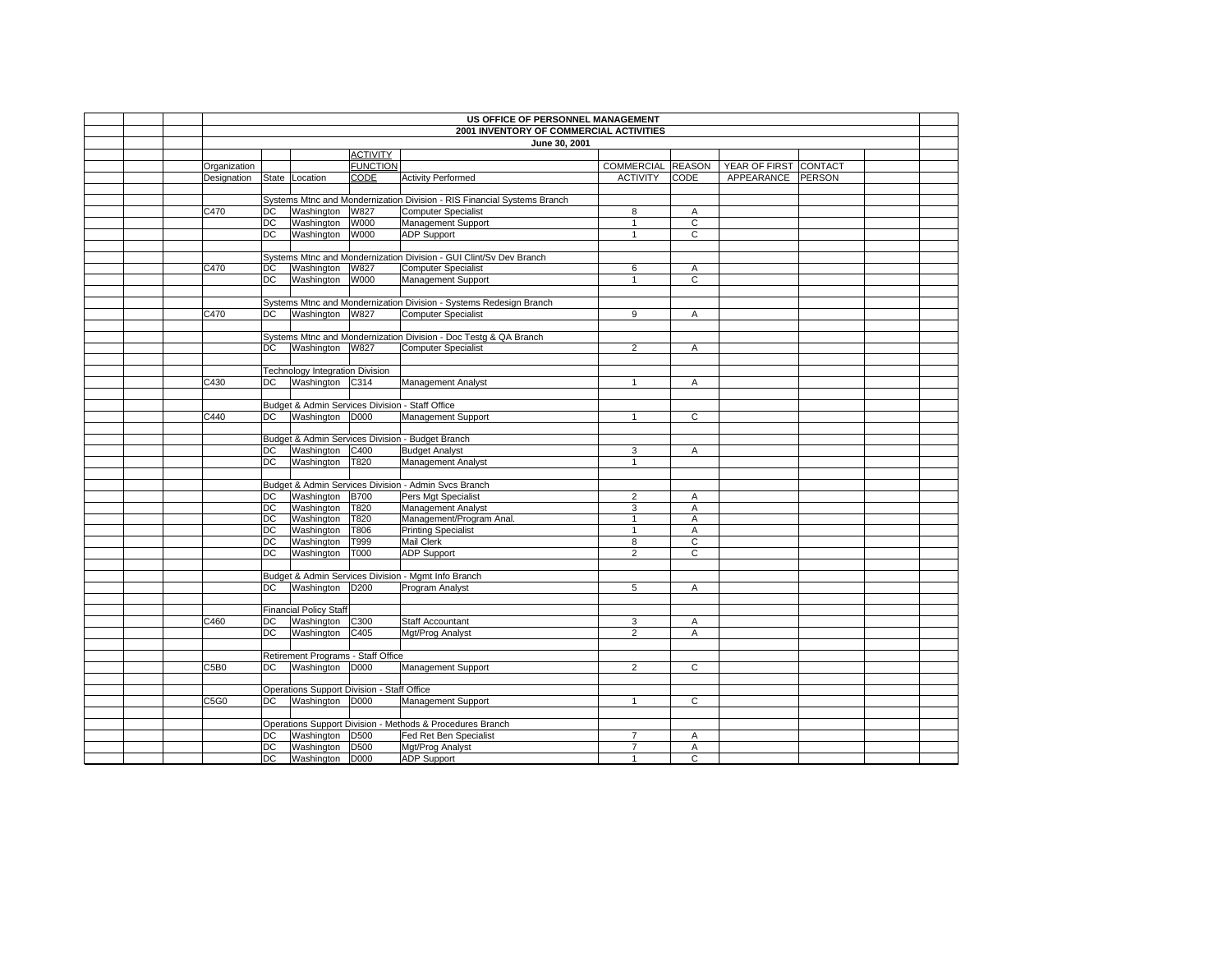|  | US OFFICE OF PERSONNEL MANAGEMENT<br>2001 INVENTORY OF COMMERCIAL ACTIVITIES |          |                                            |                                    |                                                                         |                              |                     |                       |        |  |  |
|--|------------------------------------------------------------------------------|----------|--------------------------------------------|------------------------------------|-------------------------------------------------------------------------|------------------------------|---------------------|-----------------------|--------|--|--|
|  |                                                                              |          |                                            |                                    |                                                                         |                              |                     |                       |        |  |  |
|  |                                                                              |          |                                            |                                    | June 30, 2001                                                           |                              |                     |                       |        |  |  |
|  |                                                                              |          |                                            | <b>ACTIVITY</b><br><b>FUNCTION</b> |                                                                         |                              |                     |                       |        |  |  |
|  | Organization                                                                 |          |                                            |                                    |                                                                         | COMMERCIAL REASON            |                     | YEAR OF FIRST CONTACT |        |  |  |
|  | Designation                                                                  |          | State Location                             | CODE                               | <b>Activity Performed</b>                                               | <b>ACTIVITY</b>              | CODE                | APPEARANCE            | PERSON |  |  |
|  |                                                                              |          |                                            |                                    | Systems Mtnc and Mondernization Division - RIS Financial Systems Branch |                              |                     |                       |        |  |  |
|  | C470                                                                         | DC       | Washington                                 | W827                               | Computer Specialist                                                     | 8                            |                     |                       |        |  |  |
|  |                                                                              |          | Washington                                 |                                    |                                                                         |                              | Α<br>$\overline{c}$ |                       |        |  |  |
|  |                                                                              | DC<br>DC |                                            | W000<br>W000                       | Management Support                                                      | $\mathbf{1}$<br>$\mathbf{1}$ | C                   |                       |        |  |  |
|  |                                                                              |          | Washington                                 |                                    | <b>ADP Support</b>                                                      |                              |                     |                       |        |  |  |
|  |                                                                              |          |                                            |                                    | Systems Mtnc and Mondernization Division - GUI Clint/Sv Dev Branch      |                              |                     |                       |        |  |  |
|  | C470                                                                         | DC       | Washington                                 | W827                               | <b>Computer Specialist</b>                                              | 6                            | Α                   |                       |        |  |  |
|  |                                                                              | DC       | Washington W000                            |                                    | Management Support                                                      | $\mathbf{1}$                 | $\overline{c}$      |                       |        |  |  |
|  |                                                                              |          |                                            |                                    |                                                                         |                              |                     |                       |        |  |  |
|  |                                                                              |          |                                            |                                    | Systems Mtnc and Mondernization Division - Systems Redesign Branch      |                              |                     |                       |        |  |  |
|  | C470                                                                         | DC       | Washington W827                            |                                    | <b>Computer Specialist</b>                                              | 9                            | Α                   |                       |        |  |  |
|  |                                                                              |          |                                            |                                    |                                                                         |                              |                     |                       |        |  |  |
|  |                                                                              |          |                                            |                                    | Systems Mtnc and Mondernization Division - Doc Testg & QA Branch        |                              |                     |                       |        |  |  |
|  |                                                                              | DC       | Washington W827                            |                                    | <b>Computer Specialist</b>                                              | $\overline{2}$               | A                   |                       |        |  |  |
|  |                                                                              |          |                                            |                                    |                                                                         |                              |                     |                       |        |  |  |
|  |                                                                              |          | <b>Technology Integration Division</b>     |                                    |                                                                         |                              |                     |                       |        |  |  |
|  | C430                                                                         | DC       | Washington C314                            |                                    | Management Analyst                                                      | $\mathbf{1}$                 | Α                   |                       |        |  |  |
|  |                                                                              |          |                                            |                                    |                                                                         |                              |                     |                       |        |  |  |
|  |                                                                              |          |                                            |                                    | Budget & Admin Services Division - Staff Office                         |                              |                     |                       |        |  |  |
|  | C440                                                                         | DC       | Washington D000                            |                                    | Management Support                                                      | 1                            | $\overline{c}$      |                       |        |  |  |
|  |                                                                              |          |                                            |                                    |                                                                         |                              |                     |                       |        |  |  |
|  |                                                                              |          |                                            |                                    | Budget & Admin Services Division - Budget Branch                        |                              |                     |                       |        |  |  |
|  |                                                                              | DC       | Washington C400                            |                                    | <b>Budget Analyst</b>                                                   | 3                            | Α                   |                       |        |  |  |
|  |                                                                              | DC       | Washington                                 | T820                               | Management Analyst                                                      | $\mathbf{1}$                 |                     |                       |        |  |  |
|  |                                                                              |          |                                            |                                    |                                                                         |                              |                     |                       |        |  |  |
|  |                                                                              |          |                                            |                                    | Budget & Admin Services Division - Admin Svcs Branch                    |                              |                     |                       |        |  |  |
|  |                                                                              | DC       | Washington                                 | <b>B700</b>                        | Pers Mgt Specialist                                                     | $\overline{2}$               | Α                   |                       |        |  |  |
|  |                                                                              | DC       | Washington                                 | T820                               | Management Analyst                                                      | 3                            | Α                   |                       |        |  |  |
|  |                                                                              | DC       | Washington                                 | T820                               | Management/Program Anal.                                                | $\mathbf{1}$                 | Α                   |                       |        |  |  |
|  |                                                                              | DC       | Washington                                 | T806                               | <b>Printing Specialist</b>                                              | $\mathbf{1}$                 | Α                   |                       |        |  |  |
|  |                                                                              | DC       | Washington                                 | T999                               | <b>Mail Clerk</b>                                                       | 8                            | C                   |                       |        |  |  |
|  |                                                                              | DC       | Washington                                 | T000                               | <b>ADP Support</b>                                                      | $\overline{2}$               | $\overline{c}$      |                       |        |  |  |
|  |                                                                              |          |                                            |                                    |                                                                         |                              |                     |                       |        |  |  |
|  |                                                                              |          |                                            |                                    | Budget & Admin Services Division - Mgmt Info Branch                     |                              |                     |                       |        |  |  |
|  |                                                                              |          | DC Washington D200                         |                                    | Program Analyst                                                         | 5                            | A                   |                       |        |  |  |
|  |                                                                              |          |                                            |                                    |                                                                         |                              |                     |                       |        |  |  |
|  |                                                                              |          | <b>Financial Policy Staff</b>              |                                    |                                                                         |                              |                     |                       |        |  |  |
|  | C460                                                                         |          | DC Washington C300                         |                                    | Staff Accountant                                                        | 3                            | A                   |                       |        |  |  |
|  |                                                                              | DC       | Washington C405                            |                                    | Mgt/Prog Analyst                                                        | $\overline{2}$               | Α                   |                       |        |  |  |
|  |                                                                              |          |                                            |                                    |                                                                         |                              |                     |                       |        |  |  |
|  |                                                                              |          | Retirement Programs - Staff Office         |                                    |                                                                         |                              |                     |                       |        |  |  |
|  | C5B0                                                                         | DC       | Washington D000                            |                                    | Management Support                                                      | $\overline{2}$               | $\overline{c}$      |                       |        |  |  |
|  |                                                                              |          |                                            |                                    |                                                                         |                              |                     |                       |        |  |  |
|  |                                                                              |          | Operations Support Division - Staff Office |                                    |                                                                         |                              |                     |                       |        |  |  |
|  | C5G0                                                                         | DC       | Washington D000                            |                                    | Management Support                                                      | $\mathbf{1}$                 | $\mathsf{C}$        |                       |        |  |  |
|  |                                                                              |          |                                            |                                    |                                                                         |                              |                     |                       |        |  |  |
|  |                                                                              |          |                                            |                                    | Operations Support Division - Methods & Procedures Branch               |                              |                     |                       |        |  |  |
|  |                                                                              | DC       | Washington D500                            |                                    | Fed Ret Ben Specialist                                                  | $\overline{7}$               | Α                   |                       |        |  |  |
|  |                                                                              | DC       | Washington D500                            |                                    | Mgt/Prog Analyst                                                        | $\overline{7}$               | Α                   |                       |        |  |  |
|  |                                                                              | DC       | Washington D000                            |                                    | <b>ADP Support</b>                                                      | $\mathbf{1}$                 | C                   |                       |        |  |  |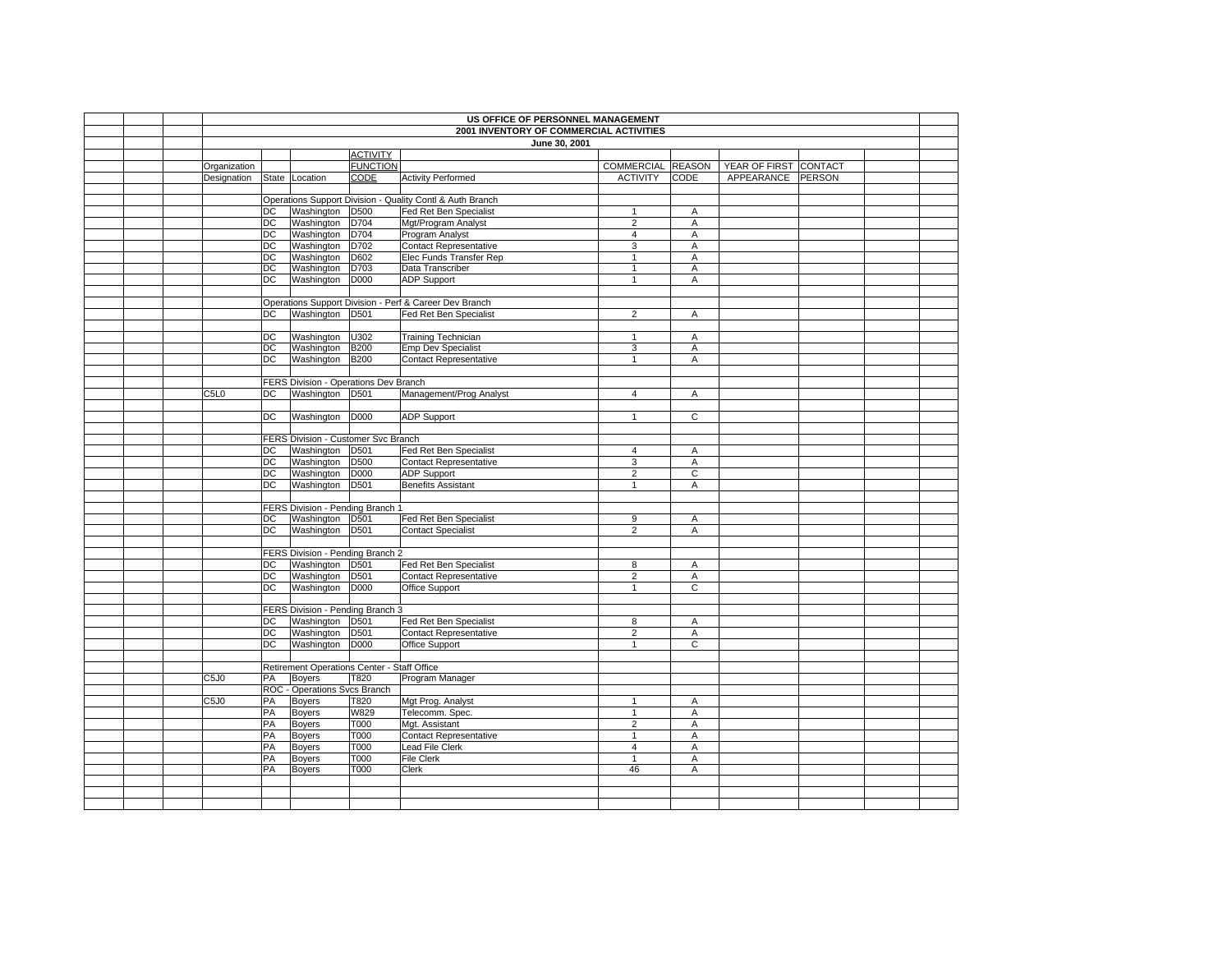|  |                               |           |                                             |                  | US OFFICE OF PERSONNEL MANAGEMENT                         |                   |                |                       |  |  |
|--|-------------------------------|-----------|---------------------------------------------|------------------|-----------------------------------------------------------|-------------------|----------------|-----------------------|--|--|
|  |                               |           |                                             |                  | 2001 INVENTORY OF COMMERCIAL ACTIVITIES                   |                   |                |                       |  |  |
|  |                               |           |                                             |                  | June 30, 2001                                             |                   |                |                       |  |  |
|  |                               |           |                                             | <b>ACTIVITY</b>  |                                                           |                   |                |                       |  |  |
|  | Organization                  |           |                                             | <b>FUNCTION</b>  |                                                           | COMMERCIAL REASON |                | YEAR OF FIRST CONTACT |  |  |
|  | Designation                   |           | State Location                              | CODE             | <b>Activity Performed</b>                                 | <b>ACTIVITY</b>   | CODE           | APPEARANCE PERSON     |  |  |
|  |                               |           |                                             |                  |                                                           |                   |                |                       |  |  |
|  |                               |           |                                             |                  | Operations Support Division - Quality Contl & Auth Branch |                   |                |                       |  |  |
|  |                               | DC        | Washington D500                             |                  | Fed Ret Ben Specialist                                    | $\mathbf{1}$      | Α              |                       |  |  |
|  |                               | <b>DC</b> | Washington                                  | D704             | Mgt/Program Analyst                                       | $\mathbf 2$       | Α              |                       |  |  |
|  |                               | DC        | Washington                                  | D704             | Program Analyst                                           | 4                 | Α              |                       |  |  |
|  |                               | DC        | Washington                                  | D702             | <b>Contact Representative</b>                             | 3                 | Α              |                       |  |  |
|  |                               | DC        | Washington                                  | D602             | Elec Funds Transfer Rep                                   | $\mathbf{1}$      | Α              |                       |  |  |
|  |                               | <b>DC</b> | Washington                                  | D703             | Data Transcriber                                          | $\mathbf{1}$      | Α              |                       |  |  |
|  |                               | <b>DC</b> | Washington                                  | D000             | <b>ADP Support</b>                                        | $\mathbf{1}$      | Α              |                       |  |  |
|  |                               |           |                                             |                  |                                                           |                   |                |                       |  |  |
|  |                               |           |                                             |                  | Operations Support Division - Perf & Career Dev Branch    |                   |                |                       |  |  |
|  |                               | DC        | Washington D501                             |                  | Fed Ret Ben Specialist                                    | $\overline{2}$    | A              |                       |  |  |
|  |                               |           |                                             |                  |                                                           |                   |                |                       |  |  |
|  |                               | DC        | Washington                                  | U302             | <b>Training Technician</b>                                | $\mathbf{1}$      | Α              |                       |  |  |
|  |                               | <b>DC</b> | Washington                                  | <b>B200</b>      | <b>Emp Dev Specialist</b>                                 | 3                 | Α              |                       |  |  |
|  |                               | DC        | Washington                                  | <b>B200</b>      | <b>Contact Representative</b>                             | $\mathbf{1}$      | Α              |                       |  |  |
|  |                               |           |                                             |                  |                                                           |                   |                |                       |  |  |
|  |                               |           | FERS Division - Operations Dev Branch       |                  |                                                           |                   |                |                       |  |  |
|  | C5L0                          | DC        | Washington D501                             |                  | Management/Prog Analyst                                   | $\overline{4}$    | Α              |                       |  |  |
|  |                               |           |                                             |                  |                                                           |                   |                |                       |  |  |
|  |                               | DC        | Washington D000                             |                  | <b>ADP Support</b>                                        | $\mathbf{1}$      | $\overline{c}$ |                       |  |  |
|  |                               |           |                                             |                  |                                                           |                   |                |                       |  |  |
|  |                               |           | FERS Division - Customer Svc Branch         |                  |                                                           |                   |                |                       |  |  |
|  |                               | DC        | Washington D501                             |                  | Fed Ret Ben Specialist                                    | $\overline{4}$    | Α              |                       |  |  |
|  |                               | DC        | Washington                                  | D500             | <b>Contact Representative</b>                             | 3                 | Α              |                       |  |  |
|  |                               | DC        | Washington                                  | <b>D000</b>      | <b>ADP Support</b>                                        | $\overline{2}$    | C              |                       |  |  |
|  |                               | <b>DC</b> | Washington                                  | D501             | <b>Benefits Assistant</b>                                 | $\mathbf{1}$      | Α              |                       |  |  |
|  |                               |           | FERS Division - Pending Branch 1            |                  |                                                           |                   |                |                       |  |  |
|  |                               | DC        | Washington D501                             |                  | Fed Ret Ben Specialist                                    | 9                 | A              |                       |  |  |
|  |                               | <b>DC</b> | Washington                                  | D <sub>501</sub> | <b>Contact Specialist</b>                                 | $\overline{2}$    | A              |                       |  |  |
|  |                               |           |                                             |                  |                                                           |                   |                |                       |  |  |
|  |                               |           | FERS Division - Pending Branch 2            |                  |                                                           |                   |                |                       |  |  |
|  |                               | DC        | Washington D501                             |                  | Fed Ret Ben Specialist                                    | 8                 | Α              |                       |  |  |
|  |                               | DC        | Washington D501                             |                  | Contact Representative                                    | $\overline{2}$    | A              |                       |  |  |
|  |                               | DC        | Washington                                  | <b>D000</b>      | Office Support                                            | $\mathbf{1}$      | $\overline{c}$ |                       |  |  |
|  |                               |           |                                             |                  |                                                           |                   |                |                       |  |  |
|  |                               |           | FERS Division - Pending Branch 3            |                  |                                                           |                   |                |                       |  |  |
|  |                               | <b>DC</b> | Washington D501                             |                  | Fed Ret Ben Specialist                                    | 8                 | A              |                       |  |  |
|  |                               | DC        | Washington D501                             |                  | <b>Contact Representative</b>                             | $\overline{2}$    | Α              |                       |  |  |
|  |                               | <b>DC</b> | Washington                                  | D000             | Office Support                                            | $\mathbf{1}$      | C              |                       |  |  |
|  |                               |           |                                             |                  |                                                           |                   |                |                       |  |  |
|  |                               |           | Retirement Operations Center - Staff Office |                  |                                                           |                   |                |                       |  |  |
|  | C <sub>5</sub> J <sub>0</sub> | PA        | Boyers                                      | T820             | Program Manager                                           |                   |                |                       |  |  |
|  |                               |           | ROC - Operations Svcs Branch                |                  |                                                           |                   |                |                       |  |  |
|  | C <sub>5</sub> J <sub>0</sub> | PA        | Boyers                                      | T820             | Mgt Prog. Analyst                                         | $\overline{1}$    | A              |                       |  |  |
|  |                               | PA        | <b>Boyers</b>                               | W829             | Telecomm. Spec.                                           | $\mathbf{1}$      | Α              |                       |  |  |
|  |                               | PA        | <b>Boyers</b>                               | T000             | Mgt. Assistant                                            | $\overline{2}$    | A              |                       |  |  |
|  |                               | PA        | <b>Boyers</b>                               | T000             | <b>Contact Representative</b>                             | $\mathbf{1}$      | Α              |                       |  |  |
|  |                               | PA        | <b>Boyers</b>                               | T000             | Lead File Clerk                                           | $\overline{4}$    | Α              |                       |  |  |
|  |                               | PA        | Boyers                                      | T000             | File Clerk                                                | $\mathbf{1}$      | Α              |                       |  |  |
|  |                               | PA        | Boyers                                      | T000             | Clerk                                                     | 46                | Α              |                       |  |  |
|  |                               |           |                                             |                  |                                                           |                   |                |                       |  |  |
|  |                               |           |                                             |                  |                                                           |                   |                |                       |  |  |
|  |                               |           |                                             |                  |                                                           |                   |                |                       |  |  |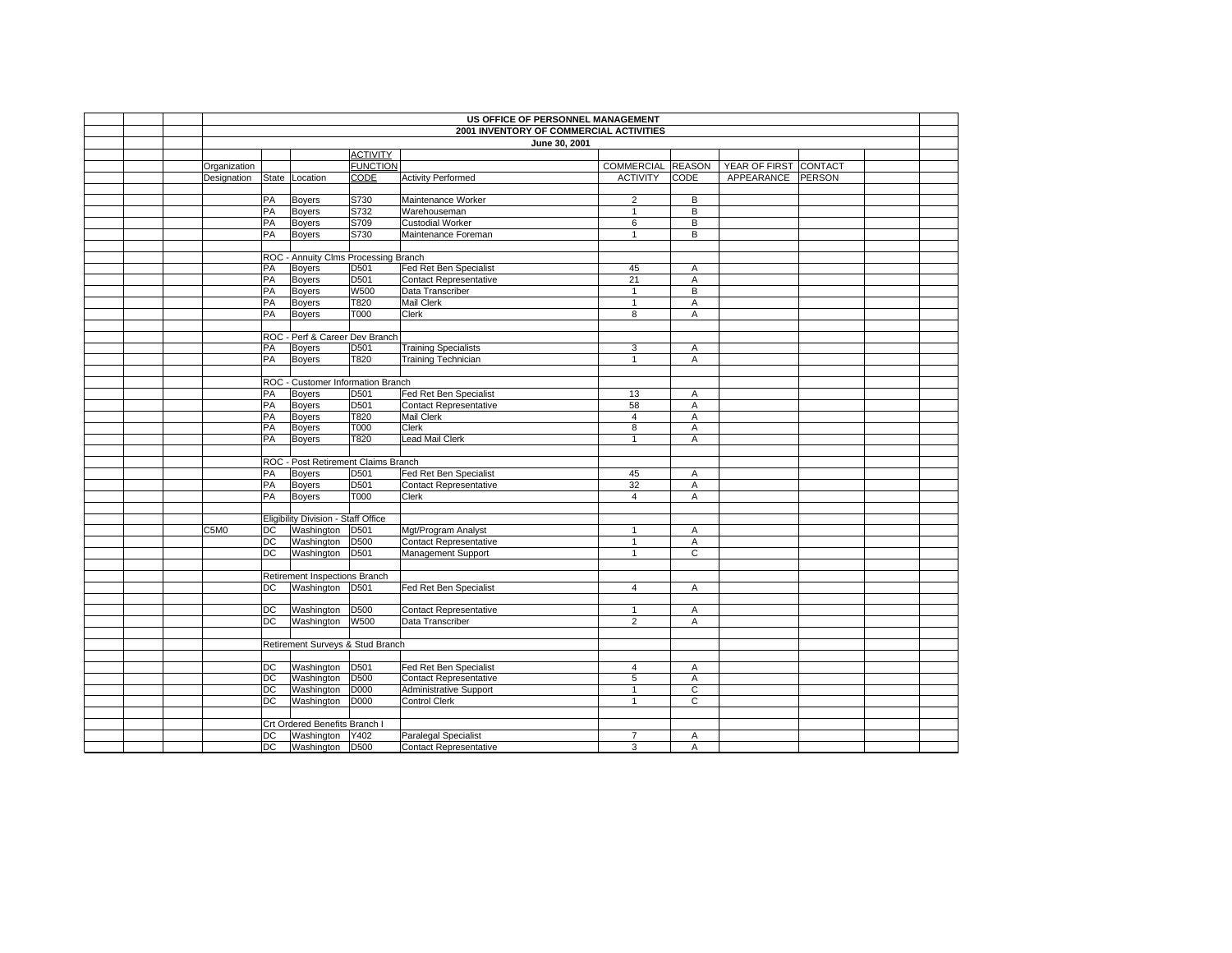|  |                            |                 |                                      |                 | US OFFICE OF PERSONNEL MANAGEMENT       |                   |                |                       |  |  |
|--|----------------------------|-----------------|--------------------------------------|-----------------|-----------------------------------------|-------------------|----------------|-----------------------|--|--|
|  |                            |                 |                                      |                 | 2001 INVENTORY OF COMMERCIAL ACTIVITIES |                   |                |                       |  |  |
|  |                            |                 |                                      |                 | June 30, 2001                           |                   |                |                       |  |  |
|  |                            |                 |                                      | <b>ACTIVITY</b> |                                         |                   |                |                       |  |  |
|  | Organization               |                 |                                      | <b>FUNCTION</b> |                                         | COMMERCIAL REASON |                | YEAR OF FIRST CONTACT |  |  |
|  | Designation State Location |                 |                                      | <b>CODE</b>     | <b>Activity Performed</b>               | <b>ACTIVITY</b>   | <b>CODE</b>    | APPEARANCE PERSON     |  |  |
|  |                            |                 |                                      |                 |                                         |                   |                |                       |  |  |
|  |                            | PA              | Boyers                               | S730            | Maintenance Worker                      | $\overline{2}$    | B              |                       |  |  |
|  |                            | PA              | Boyers                               | S732            | Warehouseman                            | $\mathbf{1}$      | $\overline{B}$ |                       |  |  |
|  |                            | PA              | Boyers                               | S709            | <b>Custodial Worker</b>                 | 6                 | В              |                       |  |  |
|  |                            | PA              | <b>Boyers</b>                        | S730            | Maintenance Foreman                     | $\mathbf{1}$      | В              |                       |  |  |
|  |                            |                 |                                      |                 |                                         |                   |                |                       |  |  |
|  |                            |                 | ROC - Annuity Clms Processing Branch |                 |                                         |                   |                |                       |  |  |
|  |                            | PA              | <b>Boyers</b>                        | D501            | Fed Ret Ben Specialist                  | 45                | Α              |                       |  |  |
|  |                            | PA              | Boyers                               | D501            | Contact Representative                  | 21                | Α              |                       |  |  |
|  |                            | PA              | Boyers                               | <b>W500</b>     | Data Transcriber                        | $\mathbf{1}$      | B              |                       |  |  |
|  |                            | PA              | <b>Boyers</b>                        | T820            | Mail Clerk                              | $\mathbf{1}$      | A              |                       |  |  |
|  |                            | PA              | Boyers                               | T000            | Clerk                                   | 8                 | Α              |                       |  |  |
|  |                            |                 |                                      |                 |                                         |                   |                |                       |  |  |
|  |                            |                 | ROC - Perf & Career Dev Branch       |                 |                                         |                   |                |                       |  |  |
|  |                            | PA              | Boyers                               | D501            | <b>Training Specialists</b>             | 3                 | A              |                       |  |  |
|  |                            | PA              | Boyers                               | T820            | <b>Training Technician</b>              | $\mathbf{1}$      | A              |                       |  |  |
|  |                            |                 |                                      |                 |                                         |                   |                |                       |  |  |
|  |                            |                 | ROC - Customer Information Branch    |                 |                                         |                   |                |                       |  |  |
|  |                            | PA              | <b>Boyers</b>                        | D501            | Fed Ret Ben Specialist                  | 13                | A              |                       |  |  |
|  |                            | PA              | Boyers                               | D501            | <b>Contact Representative</b>           | 58                | A              |                       |  |  |
|  |                            | PA              | Boyers                               | T820            | <b>Mail Clerk</b>                       | 4                 | $\overline{A}$ |                       |  |  |
|  |                            | PA              | Boyers                               | T000            | Clerk                                   | 8                 | Α              |                       |  |  |
|  |                            | PA              | Boyers                               | T820            | <b>Lead Mail Clerk</b>                  | $\mathbf{1}$      | A              |                       |  |  |
|  |                            |                 |                                      |                 |                                         |                   |                |                       |  |  |
|  |                            |                 | ROC - Post Retirement Claims Branch  |                 |                                         |                   |                |                       |  |  |
|  |                            | PA              | Boyers                               | D501            | Fed Ret Ben Specialist                  | 45                | A              |                       |  |  |
|  |                            | PA              | Boyers                               | D501            | <b>Contact Representative</b>           | 32                | A              |                       |  |  |
|  |                            | PA              | <b>Boyers</b>                        | T000            | Clerk                                   | 4                 | Α              |                       |  |  |
|  |                            |                 |                                      |                 |                                         |                   |                |                       |  |  |
|  |                            |                 | Eligibility Division - Staff Office  |                 |                                         |                   |                |                       |  |  |
|  | C5M0                       | DC              | Washington D501                      |                 | Mgt/Program Analyst                     | $\mathbf{1}$      | Α              |                       |  |  |
|  |                            | DC              | Washington D500                      |                 | <b>Contact Representative</b>           | $\mathbf{1}$      | $\overline{A}$ |                       |  |  |
|  |                            | DC              | Washington D501                      |                 | Management Support                      | $\mathbf{1}$      | C              |                       |  |  |
|  |                            |                 |                                      |                 |                                         |                   |                |                       |  |  |
|  |                            |                 | Retirement Inspections Branch        |                 |                                         |                   |                |                       |  |  |
|  |                            | DC              | Washington D501                      |                 | Fed Ret Ben Specialist                  | $\overline{4}$    | A              |                       |  |  |
|  |                            |                 |                                      |                 |                                         |                   |                |                       |  |  |
|  |                            | DC              | Washington                           | <b>D500</b>     | <b>Contact Representative</b>           | $\mathbf{1}$      | A              |                       |  |  |
|  |                            | $\overline{DC}$ | Washington W500                      |                 | Data Transcriber                        | $\overline{2}$    | A              |                       |  |  |
|  |                            |                 |                                      |                 |                                         |                   |                |                       |  |  |
|  |                            |                 | Retirement Surveys & Stud Branch     |                 |                                         |                   |                |                       |  |  |
|  |                            |                 |                                      |                 |                                         |                   |                |                       |  |  |
|  |                            | DC              | Washington                           | D501            | Fed Ret Ben Specialist                  | $\overline{4}$    | Α              |                       |  |  |
|  |                            | DC              | Washington                           | D500            | <b>Contact Representative</b>           | 5                 | Α              |                       |  |  |
|  |                            | DC              | Washington                           | D000            | <b>Administrative Support</b>           | $\overline{1}$    | $\overline{c}$ |                       |  |  |
|  |                            | DC              | Washington                           | D000            | Control Clerk                           | $\overline{1}$    | $\mathsf{C}$   |                       |  |  |
|  |                            |                 |                                      |                 |                                         |                   |                |                       |  |  |
|  |                            |                 | Crt Ordered Benefits Branch I        |                 |                                         |                   |                |                       |  |  |
|  |                            | DC              | Washington Y402                      |                 | Paralegal Specialist                    | $\overline{7}$    | Α              |                       |  |  |
|  |                            | DC              | Washington D500                      |                 | <b>Contact Representative</b>           | 3                 | Α              |                       |  |  |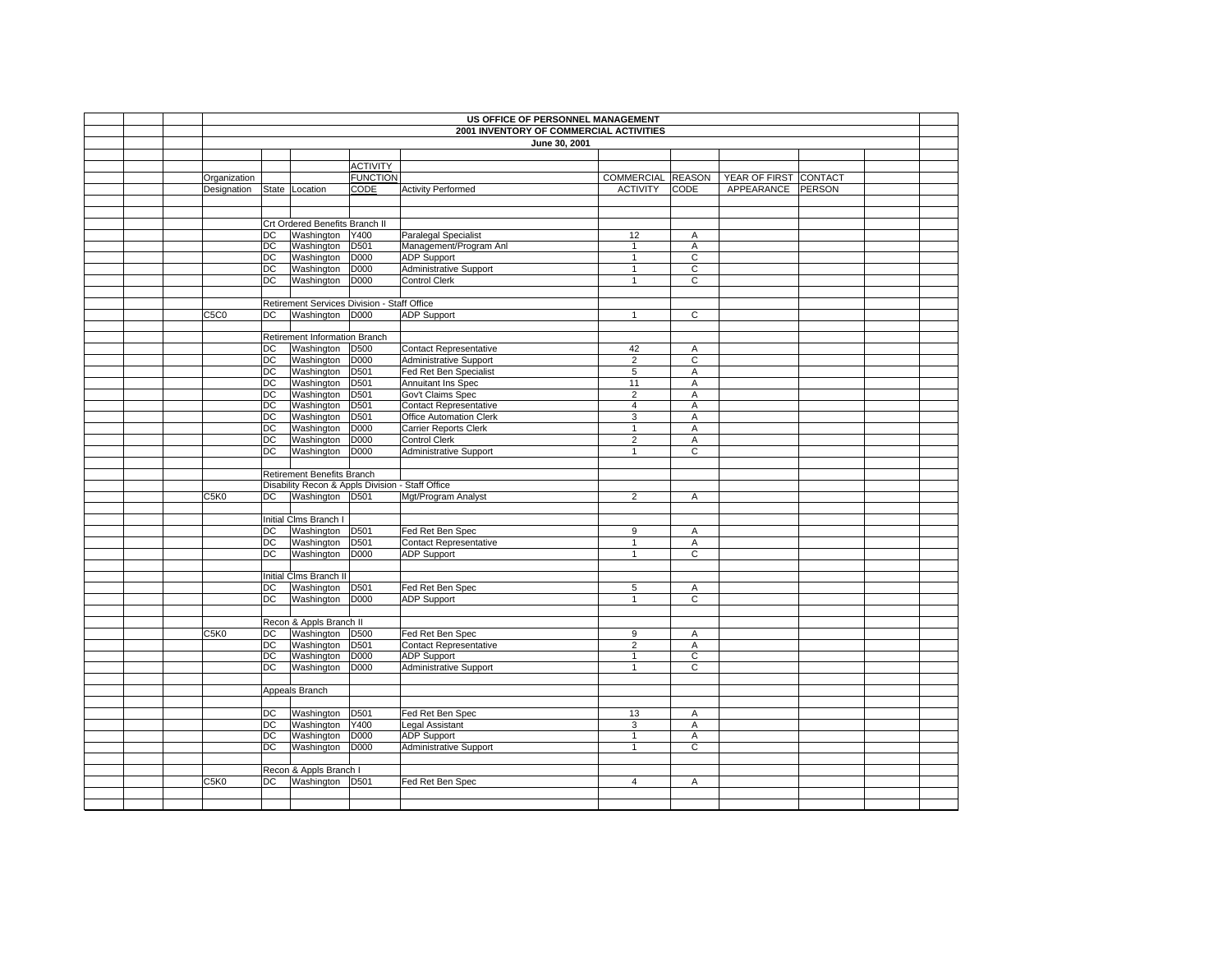|  | US OFFICE OF PERSONNEL MANAGEMENT |                                         |                                                  |                  |                               |                   |                |                       |  |  |  |
|--|-----------------------------------|-----------------------------------------|--------------------------------------------------|------------------|-------------------------------|-------------------|----------------|-----------------------|--|--|--|
|  |                                   | 2001 INVENTORY OF COMMERCIAL ACTIVITIES |                                                  |                  |                               |                   |                |                       |  |  |  |
|  |                                   |                                         |                                                  |                  | June 30, 2001                 |                   |                |                       |  |  |  |
|  |                                   |                                         |                                                  |                  |                               |                   |                |                       |  |  |  |
|  |                                   |                                         |                                                  | <b>ACTIVITY</b>  |                               |                   |                |                       |  |  |  |
|  | Organization                      |                                         |                                                  | <b>FUNCTION</b>  |                               | COMMERCIAL REASON |                | YEAR OF FIRST CONTACT |  |  |  |
|  | Designation                       | State                                   | Location                                         | <b>CODE</b>      | <b>Activity Performed</b>     | <b>ACTIVITY</b>   | CODE           | APPEARANCE PERSON     |  |  |  |
|  |                                   |                                         |                                                  |                  |                               |                   |                |                       |  |  |  |
|  |                                   |                                         |                                                  |                  |                               |                   |                |                       |  |  |  |
|  |                                   |                                         | Crt Ordered Benefits Branch II                   |                  |                               |                   |                |                       |  |  |  |
|  |                                   | DC                                      | Washington                                       | Y400             | <b>Paralegal Specialist</b>   | 12                | A              |                       |  |  |  |
|  |                                   | DC                                      | Washington                                       | D <sub>501</sub> | Management/Program Anl        | $\mathbf{1}$      | $\overline{A}$ |                       |  |  |  |
|  |                                   | DC                                      | Washington                                       | D000             | <b>ADP Support</b>            | $\mathbf{1}$      | C              |                       |  |  |  |
|  |                                   | DC                                      | Washington                                       | D000             | <b>Administrative Support</b> | $\mathbf{1}$      | C              |                       |  |  |  |
|  |                                   | DC                                      | Washington                                       | D000             | <b>Control Clerk</b>          | $\mathbf{1}$      | С              |                       |  |  |  |
|  |                                   |                                         |                                                  |                  |                               |                   |                |                       |  |  |  |
|  |                                   |                                         | Retirement Services Division - Staff Office      |                  |                               |                   |                |                       |  |  |  |
|  | C5C0                              | DC                                      | Washington D000                                  |                  | <b>ADP Support</b>            | $\mathbf{1}$      | $\overline{c}$ |                       |  |  |  |
|  |                                   |                                         |                                                  |                  |                               |                   |                |                       |  |  |  |
|  |                                   |                                         | Retirement Information Branch                    |                  |                               |                   |                |                       |  |  |  |
|  |                                   | DC                                      | Washington                                       | D500             | <b>Contact Representative</b> | 42                | Α              |                       |  |  |  |
|  |                                   | <b>DC</b>                               | Washington                                       | D000             | Administrative Support        | $\overline{2}$    | C              |                       |  |  |  |
|  |                                   | DC                                      | Washington                                       | D501             | Fed Ret Ben Specialist        | 5                 | A              |                       |  |  |  |
|  |                                   | DC                                      | Washington                                       | D501             | Annuitant Ins Spec            | 11                | A              |                       |  |  |  |
|  |                                   | DC                                      | Washington                                       | D501             | Gov't Claims Spec             | $\overline{2}$    | A              |                       |  |  |  |
|  |                                   | DC                                      | Washington                                       | D501             | <b>Contact Representative</b> | $\overline{4}$    | Α              |                       |  |  |  |
|  |                                   | DC                                      | Washington                                       | D501             | Office Automation Clerk       | 3                 | A              |                       |  |  |  |
|  |                                   | DC                                      | Washington                                       | D000             | Carrier Reports Clerk         | 1                 | Α              |                       |  |  |  |
|  |                                   | DC                                      | Washington                                       | D000             | <b>Control Clerk</b>          | $\overline{2}$    | A              |                       |  |  |  |
|  |                                   | DC                                      | Washington                                       | D000             | <b>Administrative Support</b> | $\mathbf{1}$      | С              |                       |  |  |  |
|  |                                   |                                         |                                                  |                  |                               |                   |                |                       |  |  |  |
|  |                                   |                                         | Retirement Benefits Branch                       |                  |                               |                   |                |                       |  |  |  |
|  |                                   |                                         | Disability Recon & Appls Division - Staff Office |                  |                               |                   |                |                       |  |  |  |
|  | C5K0                              | DC                                      | Washington D501                                  |                  | Mgt/Program Analyst           | $\overline{2}$    | A              |                       |  |  |  |
|  |                                   |                                         |                                                  |                  |                               |                   |                |                       |  |  |  |
|  |                                   |                                         | Initial Clms Branch I                            |                  |                               |                   |                |                       |  |  |  |
|  |                                   | DC                                      | Washington                                       | D501             | Fed Ret Ben Spec              | 9                 | Α              |                       |  |  |  |
|  |                                   | DC                                      | Washington<br>Washington                         | D501             | <b>Contact Representative</b> | $\mathbf{1}$      | Α              |                       |  |  |  |
|  |                                   | DC                                      |                                                  | D000             | <b>ADP Support</b>            | $\mathbf{1}$      | $\overline{c}$ |                       |  |  |  |
|  |                                   |                                         |                                                  |                  |                               |                   |                |                       |  |  |  |
|  |                                   |                                         | Initial Clms Branch II                           |                  |                               |                   |                |                       |  |  |  |
|  |                                   | DC<br>DC                                | Washington<br>Washington                         | D501<br>D000     | Fed Ret Ben Spec              | 5<br>$\mathbf{1}$ | A<br>C         |                       |  |  |  |
|  |                                   |                                         |                                                  |                  | <b>ADP Support</b>            |                   |                |                       |  |  |  |
|  |                                   |                                         | Recon & Appls Branch II                          |                  |                               |                   |                |                       |  |  |  |
|  | C5K0                              | DC                                      | Washington                                       | D500             | Fed Ret Ben Spec              | 9                 | A              |                       |  |  |  |
|  |                                   | DC                                      | Washington                                       | D501             | <b>Contact Representative</b> | $\overline{2}$    | A              |                       |  |  |  |
|  |                                   | DC                                      | Washington                                       | D000             | <b>ADP Support</b>            | $\mathbf{1}$      | $\mathsf C$    |                       |  |  |  |
|  |                                   | $\overline{DC}$                         | Washington                                       | D000             | Administrative Support        | $\mathbf{1}$      | $\overline{c}$ |                       |  |  |  |
|  |                                   |                                         |                                                  |                  |                               |                   |                |                       |  |  |  |
|  |                                   |                                         | Appeals Branch                                   |                  |                               |                   |                |                       |  |  |  |
|  |                                   |                                         |                                                  |                  |                               |                   |                |                       |  |  |  |
|  |                                   | DC                                      | Washington                                       | D501             | Fed Ret Ben Spec              | 13                | A              |                       |  |  |  |
|  |                                   | DC                                      | Washington                                       | Y400             | Legal Assistant               | 3                 | A              |                       |  |  |  |
|  |                                   | DC                                      | Washington                                       | D000             | <b>ADP Support</b>            | $\mathbf{1}$      | A              |                       |  |  |  |
|  |                                   | DC                                      | Washington                                       | D000             | <b>Administrative Support</b> | $\mathbf{1}$      | $\overline{c}$ |                       |  |  |  |
|  |                                   |                                         |                                                  |                  |                               |                   |                |                       |  |  |  |
|  |                                   |                                         | Recon & Appls Branch I                           |                  |                               |                   |                |                       |  |  |  |
|  | C5K0                              | DC                                      | Washington D501                                  |                  | Fed Ret Ben Spec              | $\overline{4}$    | Α              |                       |  |  |  |
|  |                                   |                                         |                                                  |                  |                               |                   |                |                       |  |  |  |
|  |                                   |                                         |                                                  |                  |                               |                   |                |                       |  |  |  |
|  |                                   |                                         |                                                  |                  |                               |                   |                |                       |  |  |  |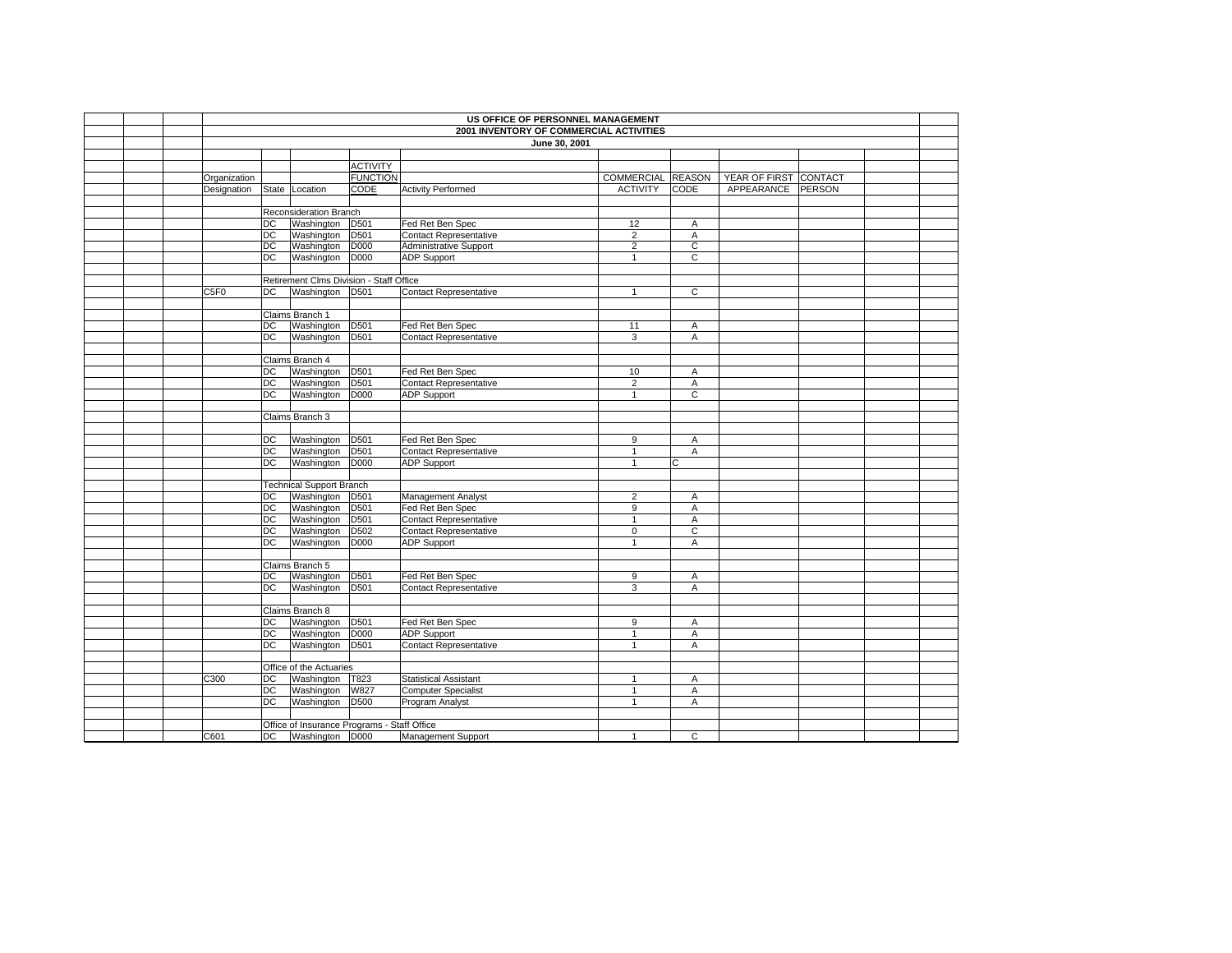|  |              |                                         |                                             |                  | US OFFICE OF PERSONNEL MANAGEMENT |                   |                |                       |        |  |
|--|--------------|-----------------------------------------|---------------------------------------------|------------------|-----------------------------------|-------------------|----------------|-----------------------|--------|--|
|  |              | 2001 INVENTORY OF COMMERCIAL ACTIVITIES |                                             |                  |                                   |                   |                |                       |        |  |
|  |              |                                         |                                             |                  | June 30, 2001                     |                   |                |                       |        |  |
|  |              |                                         |                                             |                  |                                   |                   |                |                       |        |  |
|  |              |                                         |                                             | <b>ACTIVITY</b>  |                                   |                   |                |                       |        |  |
|  | Organization |                                         |                                             | <b>FUNCTION</b>  |                                   | COMMERCIAL REASON |                | YEAR OF FIRST CONTACT |        |  |
|  | Designation  |                                         | State Location                              | CODE             | <b>Activity Performed</b>         | <b>ACTIVITY</b>   | <b>CODE</b>    | APPEARANCE            | PERSON |  |
|  |              |                                         |                                             |                  |                                   |                   |                |                       |        |  |
|  |              |                                         | Reconsideration Branch                      |                  |                                   |                   |                |                       |        |  |
|  |              | DC                                      | Washington                                  | D <sub>501</sub> | Fed Ret Ben Spec                  | 12                | Α              |                       |        |  |
|  |              | DC                                      | Washington                                  | D <sub>501</sub> | Contact Representative            | $\overline{2}$    | A              |                       |        |  |
|  |              | DC                                      | Washington                                  | <b>D000</b>      | Administrative Support            | $\overline{2}$    | $\overline{c}$ |                       |        |  |
|  |              | DC                                      | Washington D000                             |                  | <b>ADP Support</b>                | $\mathbf{1}$      | $\overline{c}$ |                       |        |  |
|  |              |                                         |                                             |                  |                                   |                   |                |                       |        |  |
|  |              |                                         | Retirement Clms Division - Staff Office     |                  |                                   |                   |                |                       |        |  |
|  | C5F0         | DC                                      | Washington D501                             |                  | <b>Contact Representative</b>     | $\mathbf{1}$      | $\overline{C}$ |                       |        |  |
|  |              |                                         |                                             |                  |                                   |                   |                |                       |        |  |
|  |              |                                         | Claims Branch 1                             |                  |                                   |                   |                |                       |        |  |
|  |              | DC                                      | Washington                                  | D <sub>501</sub> | Fed Ret Ben Spec                  | 11                | Α              |                       |        |  |
|  |              | DC                                      | Washington                                  | D <sub>501</sub> | <b>Contact Representative</b>     | $\overline{3}$    | Α              |                       |        |  |
|  |              |                                         |                                             |                  |                                   |                   |                |                       |        |  |
|  |              |                                         | Claims Branch 4                             |                  |                                   |                   |                |                       |        |  |
|  |              | <b>DC</b>                               | Washington                                  | D <sub>501</sub> | Fed Ret Ben Spec                  | 10                | Α              |                       |        |  |
|  |              | DC                                      | Washington                                  | D501             | Contact Representative            | $\overline{2}$    | Α              |                       |        |  |
|  |              | <b>DC</b>                               | Washington                                  | D000             | <b>ADP Support</b>                | $\mathbf{1}$      | $\mathsf{C}$   |                       |        |  |
|  |              |                                         |                                             |                  |                                   |                   |                |                       |        |  |
|  |              |                                         | Claims Branch 3                             |                  |                                   |                   |                |                       |        |  |
|  |              |                                         |                                             |                  |                                   |                   |                |                       |        |  |
|  |              | <b>DC</b>                               | Washington                                  | D <sub>501</sub> | Fed Ret Ben Spec                  | 9                 | A              |                       |        |  |
|  |              | DC                                      | Washington                                  | D501             | <b>Contact Representative</b>     | $\mathbf{1}$      | Α              |                       |        |  |
|  |              | DC                                      | Washington                                  | D000             | <b>ADP Support</b>                | $\mathbf{1}$      | C              |                       |        |  |
|  |              |                                         |                                             |                  |                                   |                   |                |                       |        |  |
|  |              |                                         | <b>Technical Support Branch</b>             |                  |                                   |                   |                |                       |        |  |
|  |              | <b>DC</b>                               | Washington                                  | D501             | Management Analyst                | $\overline{2}$    | Α              |                       |        |  |
|  |              | DC                                      | Washington                                  | D501             | Fed Ret Ben Spec                  | 9                 | A              |                       |        |  |
|  |              | DC                                      | Washington                                  | D <sub>501</sub> | <b>Contact Representative</b>     | $\mathbf{1}$      | Α              |                       |        |  |
|  |              | DC                                      | Washington                                  | D502             | Contact Representative            | $\mathbf 0$       | C              |                       |        |  |
|  |              | DC                                      | Washington                                  | D000             | <b>ADP Support</b>                | $\overline{1}$    | A              |                       |        |  |
|  |              |                                         |                                             |                  |                                   |                   |                |                       |        |  |
|  |              |                                         | Claims Branch 5                             |                  |                                   |                   |                |                       |        |  |
|  |              | <b>DC</b>                               | Washington                                  | D <sub>501</sub> | Fed Ret Ben Spec                  | 9                 | Α              |                       |        |  |
|  |              | <b>DC</b>                               | Washington                                  | D501             | <b>Contact Representative</b>     | 3                 | Α              |                       |        |  |
|  |              |                                         |                                             |                  |                                   |                   |                |                       |        |  |
|  |              |                                         | Claims Branch 8                             |                  |                                   |                   |                |                       |        |  |
|  |              | DC                                      | Washington                                  | D <sub>501</sub> | Fed Ret Ben Spec                  | 9                 | Α              |                       |        |  |
|  |              | <b>DC</b>                               | Washington                                  | D000             | <b>ADP Support</b>                | $\mathbf{1}$      | A              |                       |        |  |
|  |              | DC                                      | Washington                                  | D501             | <b>Contact Representative</b>     | $\mathbf{1}$      | Α              |                       |        |  |
|  |              |                                         |                                             |                  |                                   |                   |                |                       |        |  |
|  |              |                                         | Office of the Actuaries                     |                  |                                   |                   |                |                       |        |  |
|  | C300         | <b>DC</b>                               | Washington                                  | T823             | <b>Statistical Assistant</b>      | $\mathbf{1}$      | A              |                       |        |  |
|  |              | <b>DC</b>                               | Washington                                  | W827             | <b>Computer Specialist</b>        | $\mathbf{1}$      | Α              |                       |        |  |
|  |              | <b>DC</b>                               | Washington                                  | D500             | Program Analyst                   | $\overline{1}$    | A              |                       |        |  |
|  |              |                                         |                                             |                  |                                   |                   |                |                       |        |  |
|  |              |                                         | Office of Insurance Programs - Staff Office |                  |                                   |                   |                |                       |        |  |
|  | C601         |                                         | DC Washington D000                          |                  | Management Support                |                   | C              |                       |        |  |
|  |              |                                         |                                             |                  |                                   |                   |                |                       |        |  |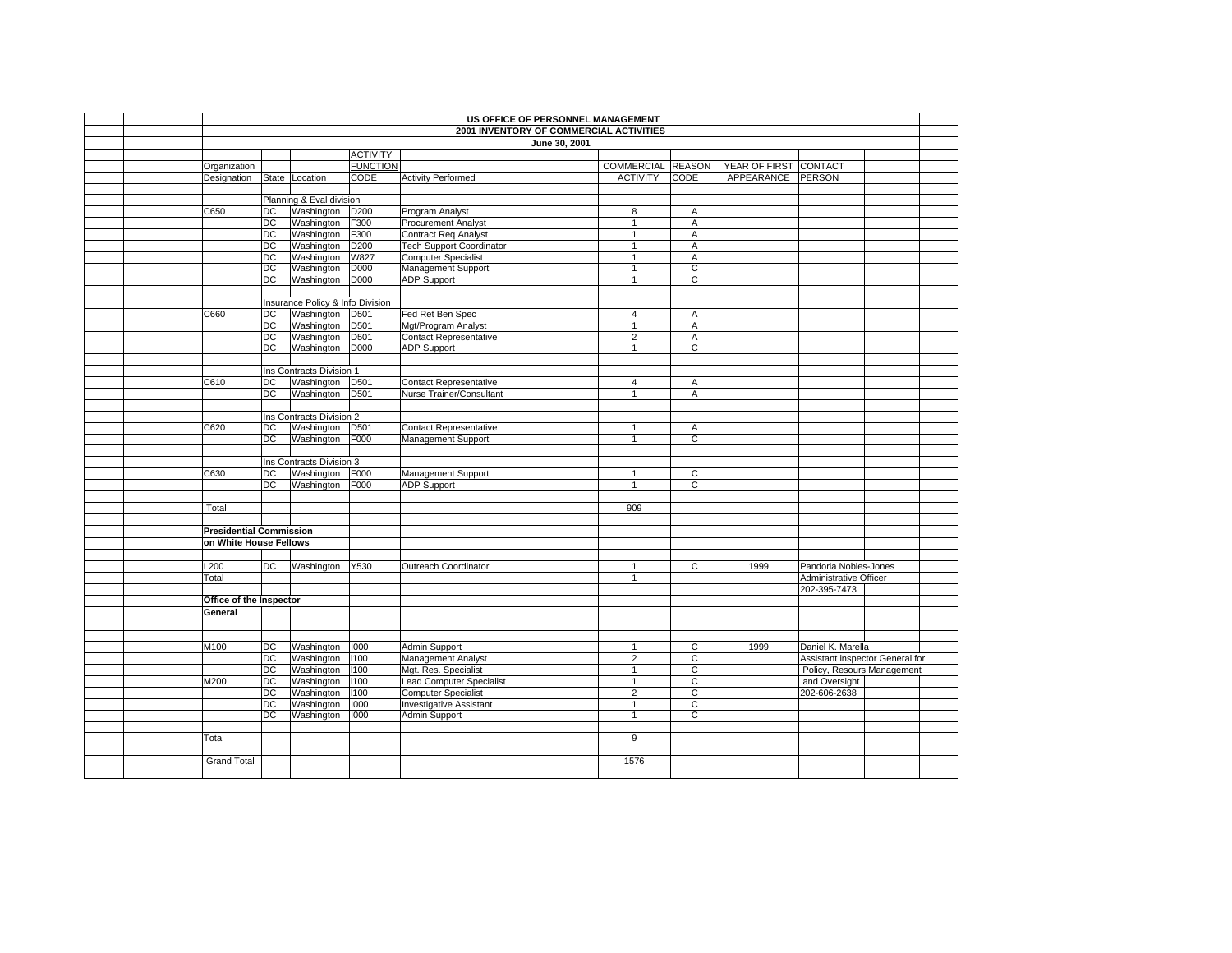|  |                                |                 |                                  |                  | US OFFICE OF PERSONNEL MANAGEMENT       |                   |                |                       |                                 |  |
|--|--------------------------------|-----------------|----------------------------------|------------------|-----------------------------------------|-------------------|----------------|-----------------------|---------------------------------|--|
|  |                                |                 |                                  |                  | 2001 INVENTORY OF COMMERCIAL ACTIVITIES |                   |                |                       |                                 |  |
|  |                                |                 |                                  |                  | June 30, 2001                           |                   |                |                       |                                 |  |
|  |                                |                 |                                  | <b>ACTIVITY</b>  |                                         |                   |                |                       |                                 |  |
|  | Organization                   |                 |                                  | <b>FUNCTION</b>  |                                         | COMMERCIAL REASON |                | YEAR OF FIRST CONTACT |                                 |  |
|  | Designation                    |                 | State Location                   | CODE             | <b>Activity Performed</b>               | <b>ACTIVITY</b>   | <b>CODE</b>    | APPEARANCE PERSON     |                                 |  |
|  |                                |                 |                                  |                  |                                         |                   |                |                       |                                 |  |
|  |                                |                 | Planning & Eval division         |                  |                                         |                   |                |                       |                                 |  |
|  | C650                           | DC              | Washington                       | D200             | Program Analyst                         | 8                 | Α              |                       |                                 |  |
|  |                                | DC.             | Washington                       | F300             | <b>Procurement Analyst</b>              | $\mathbf{1}$      | A              |                       |                                 |  |
|  |                                | $\overline{DC}$ | Washington                       | F300             | <b>Contract Req Analyst</b>             | $\mathbf{1}$      | Α              |                       |                                 |  |
|  |                                | DC              | Washington                       | D <sub>200</sub> | <b>Tech Support Coordinator</b>         | $\mathbf{1}$      | A              |                       |                                 |  |
|  |                                | DC              | Washington                       | W827             | <b>Computer Specialist</b>              | $\mathbf{1}$      | A              |                       |                                 |  |
|  |                                | DC              | Washington                       | D000             | Management Support                      | $\mathbf{1}$      | $\overline{c}$ |                       |                                 |  |
|  |                                | DC              | Washington                       | D000             | <b>ADP Support</b>                      | $\mathbf{1}$      | C              |                       |                                 |  |
|  |                                |                 |                                  |                  |                                         |                   |                |                       |                                 |  |
|  |                                |                 | Insurance Policy & Info Division |                  |                                         |                   |                |                       |                                 |  |
|  | C660                           | DC              | Washington                       | D501             | Fed Ret Ben Spec                        | $\overline{4}$    | A              |                       |                                 |  |
|  |                                | DC              | Washington                       | D501             | Mgt/Program Analyst                     | $\mathbf{1}$      | A              |                       |                                 |  |
|  |                                | $\overline{DC}$ | Washington                       | D501             | Contact Representative                  | $\overline{2}$    | A              |                       |                                 |  |
|  |                                | DC              | Washington                       | D000             | <b>ADP Support</b>                      | $\mathbf{1}$      | $\mathbf C$    |                       |                                 |  |
|  |                                |                 |                                  |                  |                                         |                   |                |                       |                                 |  |
|  |                                |                 | Ins Contracts Division 1         |                  |                                         |                   |                |                       |                                 |  |
|  | C610                           | DC              | Washington                       | D501             | <b>Contact Representative</b>           | $\overline{4}$    | Α              |                       |                                 |  |
|  |                                | DC              | Washington                       | D501             | Nurse Trainer/Consultant                | $\mathbf{1}$      | A              |                       |                                 |  |
|  |                                |                 |                                  |                  |                                         |                   |                |                       |                                 |  |
|  |                                |                 | Ins Contracts Division 2         |                  |                                         |                   |                |                       |                                 |  |
|  | C620                           | DC              | Washington                       | D501             | <b>Contact Representative</b>           | $\mathbf{1}$      | Α              |                       |                                 |  |
|  |                                | DC              | Washington                       | F000             | Management Support                      | $\mathbf{1}$      | $\overline{c}$ |                       |                                 |  |
|  |                                |                 |                                  |                  |                                         |                   |                |                       |                                 |  |
|  |                                |                 | Ins Contracts Division 3         |                  |                                         |                   |                |                       |                                 |  |
|  | C630                           | DC              | Washington                       | F000             | Management Support                      | $\mathbf{1}$      | C              |                       |                                 |  |
|  |                                | DC              | Washington                       | F000             | <b>ADP Support</b>                      | $\mathbf{1}$      | $\mathsf C$    |                       |                                 |  |
|  |                                |                 |                                  |                  |                                         |                   |                |                       |                                 |  |
|  | Total                          |                 |                                  |                  |                                         | 909               |                |                       |                                 |  |
|  |                                |                 |                                  |                  |                                         |                   |                |                       |                                 |  |
|  | <b>Presidential Commission</b> |                 |                                  |                  |                                         |                   |                |                       |                                 |  |
|  | on White House Fellows         |                 |                                  |                  |                                         |                   |                |                       |                                 |  |
|  |                                |                 |                                  |                  |                                         |                   |                |                       |                                 |  |
|  | L200                           | DC              | Washington                       | Y530             | Outreach Coordinator                    | $\mathbf{1}$      | $\overline{c}$ | 1999                  | Pandoria Nobles-Jones           |  |
|  | Total                          |                 |                                  |                  |                                         | $\overline{1}$    |                |                       | Administrative Officer          |  |
|  |                                |                 |                                  |                  |                                         |                   |                |                       | 202-395-7473                    |  |
|  | Office of the Inspector        |                 |                                  |                  |                                         |                   |                |                       |                                 |  |
|  | General                        |                 |                                  |                  |                                         |                   |                |                       |                                 |  |
|  |                                |                 |                                  |                  |                                         |                   |                |                       |                                 |  |
|  |                                |                 |                                  |                  |                                         |                   |                |                       |                                 |  |
|  | M100                           | DC              | Washington                       | 1000             | <b>Admin Support</b>                    | $\mathbf{1}$      | $\mathsf C$    | 1999                  | Daniel K. Marella               |  |
|  |                                | $\overline{DC}$ | Washington                       | 1100             | Management Analyst                      | $\overline{2}$    | $\overline{c}$ |                       | Assistant inspector General for |  |
|  |                                | $\overline{DC}$ | Washington                       | 1100             | Mgt. Res. Specialist                    | $\mathbf{1}$      | C              |                       | Policy, Resours Management      |  |
|  | M200                           | DC              | Washington                       | 1100             | <b>Lead Computer Specialist</b>         | $\mathbf{1}$      | C              |                       | and Oversight                   |  |
|  |                                | DC              | Washington                       | 1100             | <b>Computer Specialist</b>              | $\overline{2}$    | $\mathsf C$    |                       | 202-606-2638                    |  |
|  |                                | DC              | Washington                       | 1000             | <b>Investigative Assistant</b>          | $\mathbf{1}$      | C              |                       |                                 |  |
|  |                                | DC              | Washington                       | 1000             | Admin Support                           | $\mathbf{1}$      | $\overline{c}$ |                       |                                 |  |
|  |                                |                 |                                  |                  |                                         |                   |                |                       |                                 |  |
|  | Total                          |                 |                                  |                  |                                         | 9                 |                |                       |                                 |  |
|  |                                |                 |                                  |                  |                                         |                   |                |                       |                                 |  |
|  | <b>Grand Total</b>             |                 |                                  |                  |                                         | 1576              |                |                       |                                 |  |
|  |                                |                 |                                  |                  |                                         |                   |                |                       |                                 |  |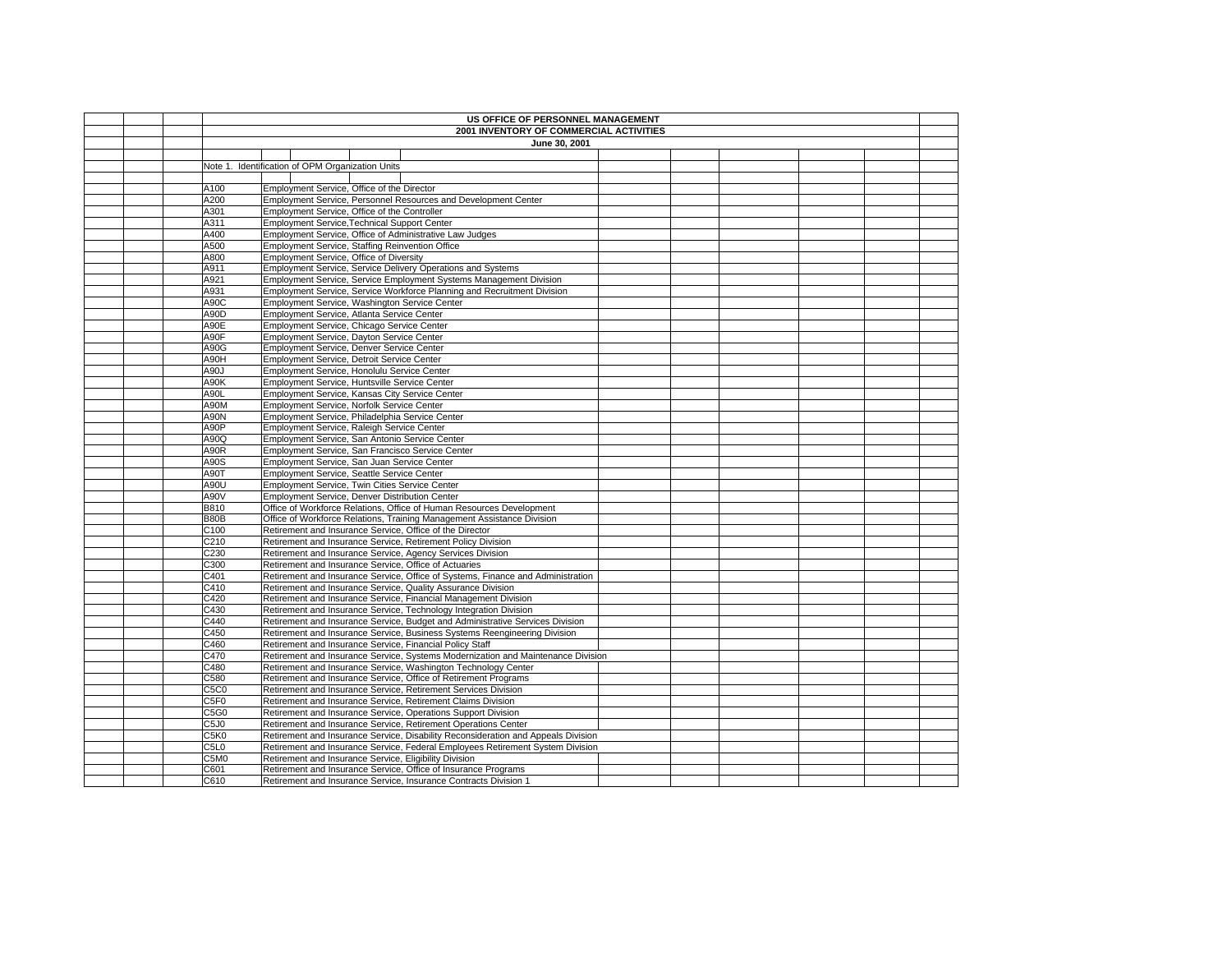|  |              | US OFFICE OF PERSONNEL MANAGEMENT<br>2001 INVENTORY OF COMMERCIAL ACTIVITIES                                                      |  |  |  |
|--|--------------|-----------------------------------------------------------------------------------------------------------------------------------|--|--|--|
|  |              | June 30, 2001                                                                                                                     |  |  |  |
|  |              |                                                                                                                                   |  |  |  |
|  |              | Note 1. Identification of OPM Organization Units                                                                                  |  |  |  |
|  |              |                                                                                                                                   |  |  |  |
|  | A100         | Employment Service, Office of the Director                                                                                        |  |  |  |
|  | A200         | Employment Service, Personnel Resources and Development Center                                                                    |  |  |  |
|  | A301         | Employment Service, Office of the Controller                                                                                      |  |  |  |
|  | A311         | <b>Employment Service, Technical Support Center</b>                                                                               |  |  |  |
|  | A400         | Employment Service, Office of Administrative Law Judges                                                                           |  |  |  |
|  | A500         | Employment Service, Staffing Reinvention Office                                                                                   |  |  |  |
|  | A800         | Employment Service, Office of Diversity                                                                                           |  |  |  |
|  | A911         | Employment Service, Service Delivery Operations and Systems                                                                       |  |  |  |
|  | A921         | Employment Service, Service Employment Systems Management Division                                                                |  |  |  |
|  | A931         | Employment Service, Service Workforce Planning and Recruitment Division                                                           |  |  |  |
|  | A90C         | Employment Service, Washington Service Center                                                                                     |  |  |  |
|  | A90D         | Employment Service, Atlanta Service Center                                                                                        |  |  |  |
|  | A90E         | Employment Service, Chicago Service Center                                                                                        |  |  |  |
|  | A90F         | Employment Service, Dayton Service Center                                                                                         |  |  |  |
|  | A90G         | Employment Service, Denver Service Center                                                                                         |  |  |  |
|  | A90H         | Employment Service, Detroit Service Center                                                                                        |  |  |  |
|  | A90J         | Employment Service, Honolulu Service Center                                                                                       |  |  |  |
|  | A90K         | Employment Service, Huntsville Service Center                                                                                     |  |  |  |
|  | A90L         | Employment Service, Kansas City Service Center                                                                                    |  |  |  |
|  | A90M         | Employment Service, Norfolk Service Center                                                                                        |  |  |  |
|  | A90N         | Employment Service, Philadelphia Service Center                                                                                   |  |  |  |
|  | A90P         | Employment Service, Raleigh Service Center                                                                                        |  |  |  |
|  | A90Q         | Employment Service, San Antonio Service Center                                                                                    |  |  |  |
|  | A90R         | Employment Service, San Francisco Service Center                                                                                  |  |  |  |
|  | A90S         | Employment Service, San Juan Service Center                                                                                       |  |  |  |
|  | A90T         | Employment Service, Seattle Service Center                                                                                        |  |  |  |
|  | A90U         | Employment Service, Twin Cities Service Center                                                                                    |  |  |  |
|  | A90V         | Employment Service, Denver Distribution Center                                                                                    |  |  |  |
|  | B810         | Office of Workforce Relations, Office of Human Resources Development                                                              |  |  |  |
|  | B80B         | Office of Workforce Relations, Training Management Assistance Division                                                            |  |  |  |
|  | C100         | Retirement and Insurance Service, Office of the Director                                                                          |  |  |  |
|  | C210         | Retirement and Insurance Service, Retirement Policy Division                                                                      |  |  |  |
|  | C230         | Retirement and Insurance Service, Agency Services Division                                                                        |  |  |  |
|  | C300         | Retirement and Insurance Service, Office of Actuaries                                                                             |  |  |  |
|  | C401         | Retirement and Insurance Service, Office of Systems, Finance and Administration                                                   |  |  |  |
|  | C410         | Retirement and Insurance Service, Quality Assurance Division                                                                      |  |  |  |
|  | C420         | Retirement and Insurance Service, Financial Management Division                                                                   |  |  |  |
|  | C430         | Retirement and Insurance Service, Technology Integration Division                                                                 |  |  |  |
|  | C440         | Retirement and Insurance Service, Budget and Administrative Services Division                                                     |  |  |  |
|  | C450         | Retirement and Insurance Service, Business Systems Reengineering Division                                                         |  |  |  |
|  | C460         | Retirement and Insurance Service, Financial Policy Staff                                                                          |  |  |  |
|  | C470         | Retirement and Insurance Service, Systems Modernization and Maintenance Division                                                  |  |  |  |
|  | C480         | Retirement and Insurance Service, Washington Technology Center                                                                    |  |  |  |
|  | C580<br>C5C0 | Retirement and Insurance Service, Office of Retirement Programs<br>Retirement and Insurance Service, Retirement Services Division |  |  |  |
|  | C5F0         | Retirement and Insurance Service, Retirement Claims Division                                                                      |  |  |  |
|  | C5G0         | Retirement and Insurance Service, Operations Support Division                                                                     |  |  |  |
|  | C5J0         | Retirement and Insurance Service, Retirement Operations Center                                                                    |  |  |  |
|  | C5K0         | Retirement and Insurance Service, Disability Reconsideration and Appeals Division                                                 |  |  |  |
|  | C5L0         | Retirement and Insurance Service, Federal Employees Retirement System Division                                                    |  |  |  |
|  | C5M0         | Retirement and Insurance Service, Eligibility Division                                                                            |  |  |  |
|  | C601         | Retirement and Insurance Service, Office of Insurance Programs                                                                    |  |  |  |
|  | C610         | Retirement and Insurance Service, Insurance Contracts Division 1                                                                  |  |  |  |
|  |              |                                                                                                                                   |  |  |  |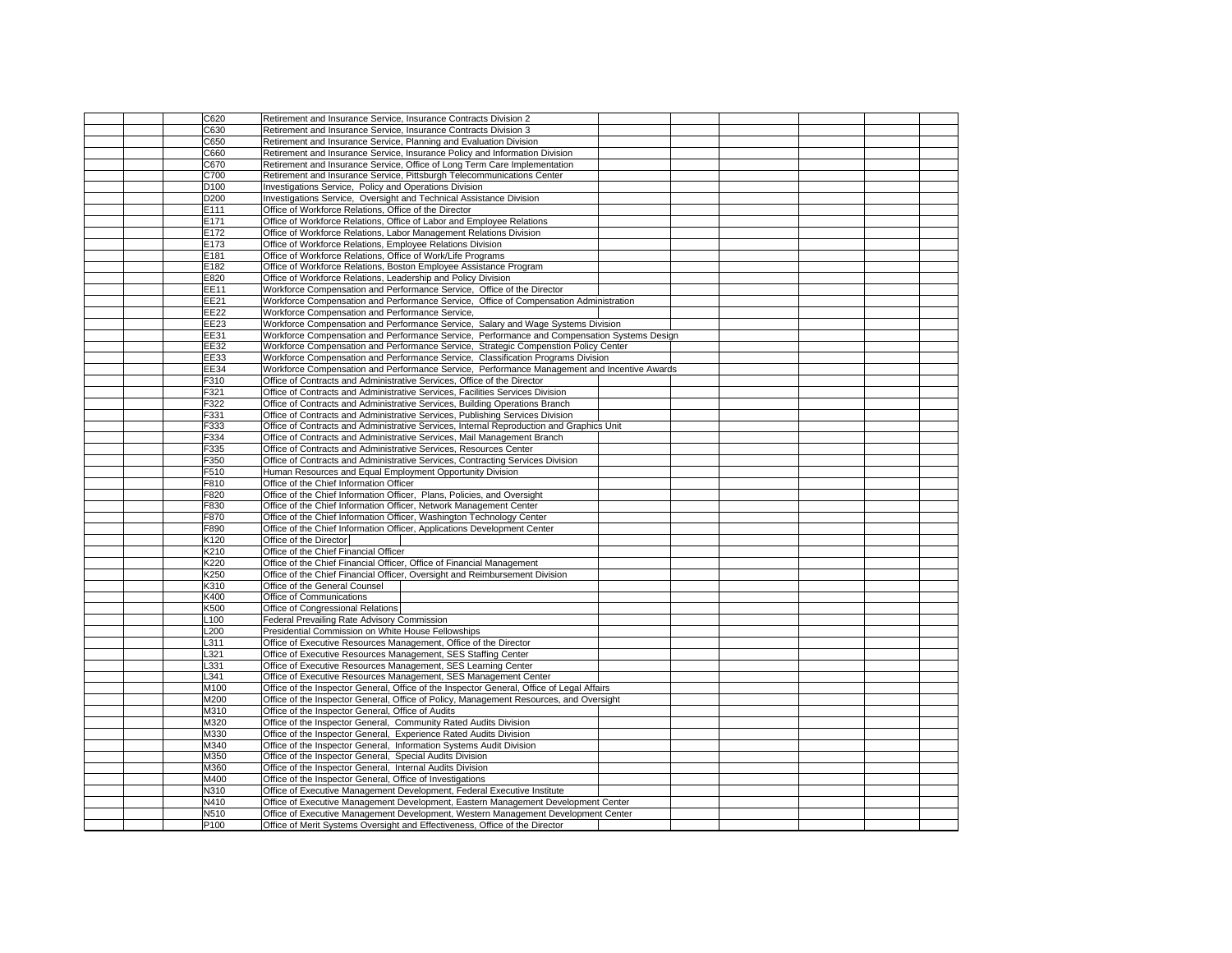|  | C620             | Retirement and Insurance Service, Insurance Contracts Division 2                            |  |  |  |
|--|------------------|---------------------------------------------------------------------------------------------|--|--|--|
|  | C630             | Retirement and Insurance Service, Insurance Contracts Division 3                            |  |  |  |
|  | C650             | Retirement and Insurance Service, Planning and Evaluation Division                          |  |  |  |
|  | C660             | Retirement and Insurance Service, Insurance Policy and Information Division                 |  |  |  |
|  | C670             | Retirement and Insurance Service, Office of Long Term Care Implementation                   |  |  |  |
|  | C700             | Retirement and Insurance Service, Pittsburgh Telecommunications Center                      |  |  |  |
|  | D <sub>100</sub> | Investigations Service, Policy and Operations Division                                      |  |  |  |
|  |                  |                                                                                             |  |  |  |
|  | D200             | Investigations Service, Oversight and Technical Assistance Division                         |  |  |  |
|  | E111             | Office of Workforce Relations, Office of the Director                                       |  |  |  |
|  | E171             | Office of Workforce Relations, Office of Labor and Employee Relations                       |  |  |  |
|  | E172             | Office of Workforce Relations, Labor Management Relations Division                          |  |  |  |
|  | E173             | Office of Workforce Relations, Employee Relations Division                                  |  |  |  |
|  | E181             | Office of Workforce Relations, Office of Work/Life Programs                                 |  |  |  |
|  | E182             | Office of Workforce Relations, Boston Employee Assistance Program                           |  |  |  |
|  | E820             | Office of Workforce Relations, Leadership and Policy Division                               |  |  |  |
|  | <b>EE11</b>      | Workforce Compensation and Performance Service, Office of the Director                      |  |  |  |
|  |                  |                                                                                             |  |  |  |
|  | <b>EE21</b>      | Workforce Compensation and Performance Service, Office of Compensation Administration       |  |  |  |
|  | <b>EE22</b>      | Workforce Compensation and Performance Service,                                             |  |  |  |
|  | <b>EE23</b>      | Workforce Compensation and Performance Service, Salary and Wage Systems Division            |  |  |  |
|  | <b>EE31</b>      | Workforce Compensation and Performance Service, Performance and Compensation Systems Design |  |  |  |
|  | EE32             | Workforce Compensation and Performance Service, Strategic Compenstion Policy Center         |  |  |  |
|  | <b>EE33</b>      | Workforce Compensation and Performance Service, Classification Programs Division            |  |  |  |
|  | EE34             | Workforce Compensation and Performance Service, Performance Management and Incentive Awards |  |  |  |
|  | F310             | Office of Contracts and Administrative Services, Office of the Director                     |  |  |  |
|  | F321             | Office of Contracts and Administrative Services, Facilities Services Division               |  |  |  |
|  |                  |                                                                                             |  |  |  |
|  | F322             | Office of Contracts and Administrative Services, Building Operations Branch                 |  |  |  |
|  | F331             | Office of Contracts and Administrative Services, Publishing Services Division               |  |  |  |
|  | F333             | Office of Contracts and Administrative Services, Internal Reproduction and Graphics Unit    |  |  |  |
|  | F334             | Office of Contracts and Administrative Services, Mail Management Branch                     |  |  |  |
|  | F335             | Office of Contracts and Administrative Services, Resources Center                           |  |  |  |
|  | F350             | Office of Contracts and Administrative Services, Contracting Services Division              |  |  |  |
|  | F510             | Human Resources and Equal Employment Opportunity Division                                   |  |  |  |
|  | F810             | Office of the Chief Information Officer                                                     |  |  |  |
|  | F820             | Office of the Chief Information Officer, Plans, Policies, and Oversight                     |  |  |  |
|  |                  |                                                                                             |  |  |  |
|  | F830             | Office of the Chief Information Officer, Network Management Center                          |  |  |  |
|  | F870             | Office of the Chief Information Officer, Washington Technology Center                       |  |  |  |
|  | F890             | Office of the Chief Information Officer, Applications Development Center                    |  |  |  |
|  | K120             | Office of the Director                                                                      |  |  |  |
|  | K210             | Office of the Chief Financial Officer                                                       |  |  |  |
|  | K220             | Office of the Chief Financial Officer, Office of Financial Management                       |  |  |  |
|  | K250             | Office of the Chief Financial Officer, Oversight and Reimbursement Division                 |  |  |  |
|  | K310             | Office of the General Counsel                                                               |  |  |  |
|  | K400             | Office of Communications                                                                    |  |  |  |
|  |                  |                                                                                             |  |  |  |
|  | K500             | Office of Congressional Relations                                                           |  |  |  |
|  | L <sub>100</sub> | Federal Prevailing Rate Advisory Commission                                                 |  |  |  |
|  | L200             | Presidential Commission on White House Fellowships                                          |  |  |  |
|  | L311             | Office of Executive Resources Management, Office of the Director                            |  |  |  |
|  | L321             | Office of Executive Resources Management, SES Staffing Center                               |  |  |  |
|  | L331             | Office of Executive Resources Management, SES Learning Center                               |  |  |  |
|  | L341             | Office of Executive Resources Management, SES Management Center                             |  |  |  |
|  | M100             | Office of the Inspector General, Office of the Inspector General, Office of Legal Affairs   |  |  |  |
|  | M200             | Office of the Inspector General, Office of Policy, Management Resources, and Oversight      |  |  |  |
|  | M310             |                                                                                             |  |  |  |
|  |                  | Office of the Inspector General, Office of Audits                                           |  |  |  |
|  | M320             | Office of the Inspector General, Community Rated Audits Division                            |  |  |  |
|  | M330             | Office of the Inspector General, Experience Rated Audits Division                           |  |  |  |
|  | M340             | Office of the Inspector General, Information Systems Audit Division                         |  |  |  |
|  | M350             | Office of the Inspector General, Special Audits Division                                    |  |  |  |
|  | M360             | Office of the Inspector General, Internal Audits Division                                   |  |  |  |
|  | M400             | Office of the Inspector General, Office of Investigations                                   |  |  |  |
|  | N310             | Office of Executive Management Development, Federal Executive Institute                     |  |  |  |
|  | N410             | Office of Executive Management Development, Eastern Management Development Center           |  |  |  |
|  | <b>N510</b>      | Office of Executive Management Development, Western Management Development Center           |  |  |  |
|  |                  |                                                                                             |  |  |  |
|  | P <sub>100</sub> | Office of Merit Systems Oversight and Effectiveness, Office of the Director                 |  |  |  |